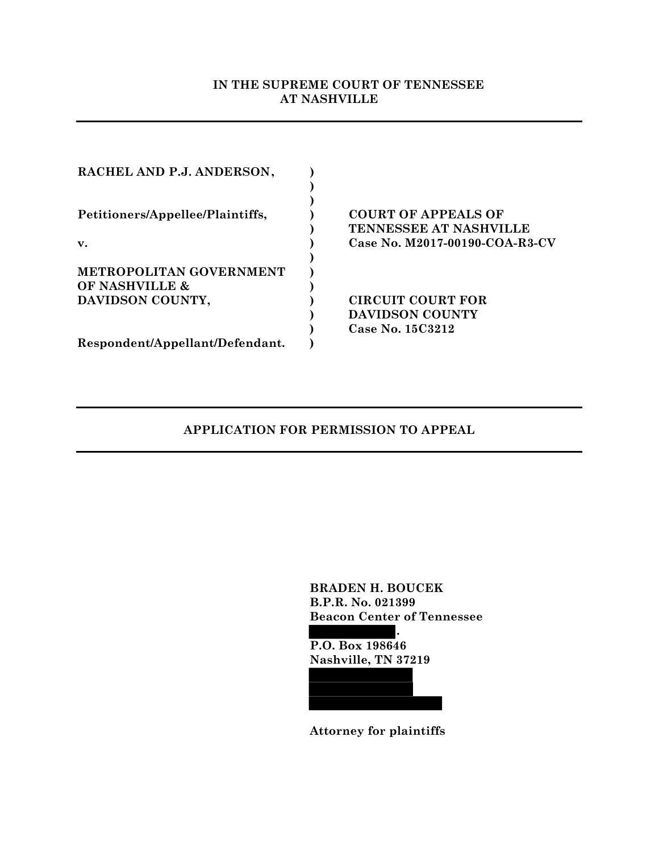# **IN THE SUPREME COURT OF TENNESSEE AT NASHVILLE**

| RACHEL AND P.J. ANDERSON,        |                                  |
|----------------------------------|----------------------------------|
|                                  |                                  |
|                                  |                                  |
| Petitioners/Appellee/Plaintiffs. | <b>COURT OF APPEALS OF</b>       |
|                                  | TENNESSEE AT NASHVILLE           |
| $\mathbf{v}$ .                   | Case No. $M2017-00190-COA-R3-CV$ |
|                                  |                                  |
| <b>METROPOLITAN GOVERNMENT</b>   |                                  |
| <b>OF NASHVILLE &amp;</b>        |                                  |
| DAVIDSON COUNTY,                 | <b>CIRCUIT COURT FOR</b>         |
|                                  | DAVIDSON COUNTY                  |
|                                  | Case No. 15C3212                 |
| Respondent/Appellant/Defendant.  |                                  |

# **APPLICATION FOR PERMISSION TO APPEAL**

**BRADEN H. BOUCEK B.P.R. No. 021399 Beacon Center of Tennessee**

**. P.O. Box 198646 Nashville, TN 37219**



**Attorney for plaintiffs**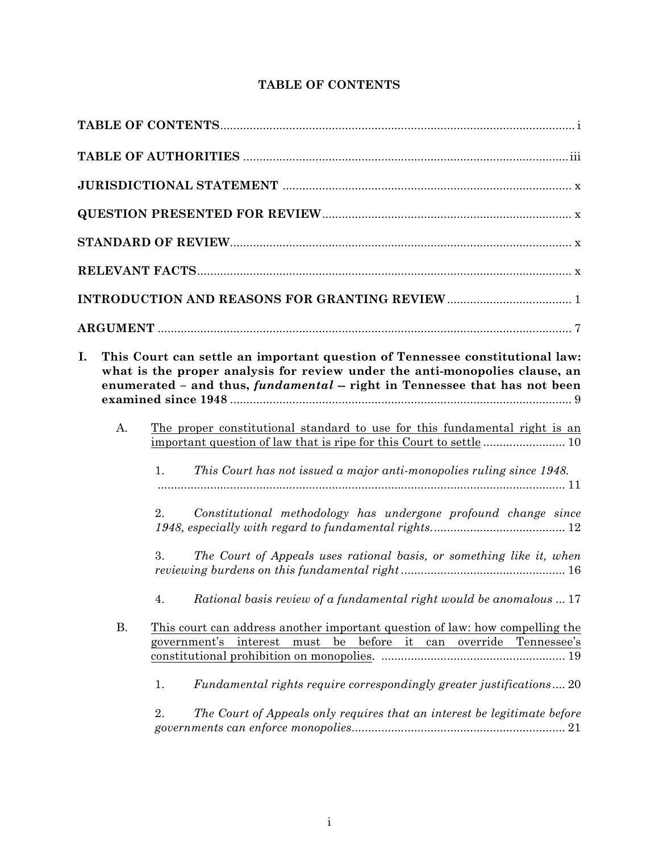| I. |           | This Court can settle an important question of Tennessee constitutional law:<br>what is the proper analysis for review under the anti-monopolies clause, an<br>enumerated - and thus, <i>fundamental</i> - right in Tennessee that has not been |
|----|-----------|-------------------------------------------------------------------------------------------------------------------------------------------------------------------------------------------------------------------------------------------------|
|    | A.        | The proper constitutional standard to use for this fundamental right is an                                                                                                                                                                      |
|    |           | This Court has not issued a major anti-monopolies ruling since 1948.<br>1.                                                                                                                                                                      |
|    |           | Constitutional methodology has undergone profound change since<br>2.                                                                                                                                                                            |
|    |           | The Court of Appeals uses rational basis, or something like it, when<br>3.                                                                                                                                                                      |
|    |           | 4. Rational basis review of a fundamental right would be anomalous  17                                                                                                                                                                          |
|    | <b>B.</b> | This court can address another important question of law: how compelling the<br>before it<br>government's<br>interest<br>can override Tennessee's<br>must<br>be                                                                                 |
|    |           | Fundamental rights require correspondingly greater justifications 20<br>1.                                                                                                                                                                      |
|    |           | 2.<br>The Court of Appeals only requires that an interest be legitimate before                                                                                                                                                                  |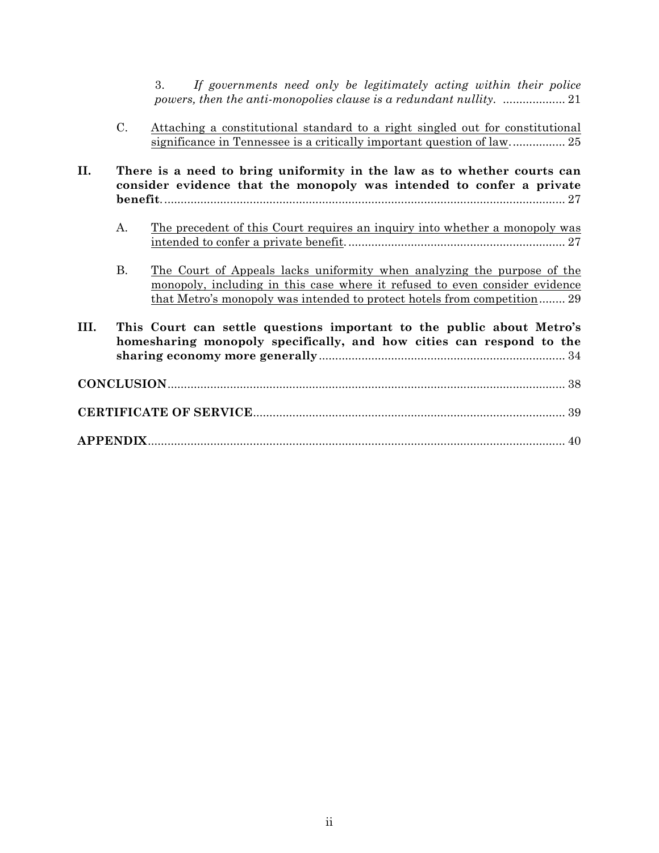3. *If governments need only be legitimately acting within their police powers, then the anti-monopolies clause is a redundant nullity.* ................... 21

C. Attaching a constitutional standard to a right singled out for constitutional significance in Tennessee is a critically important question of law................... 25

| II.  |           | There is a need to bring uniformity in the law as to whether courts can<br>consider evidence that the monopoly was intended to confer a private                                                                                    |
|------|-----------|------------------------------------------------------------------------------------------------------------------------------------------------------------------------------------------------------------------------------------|
|      | A.        | The precedent of this Court requires an inquiry into whether a monopoly was                                                                                                                                                        |
|      | <b>B.</b> | The Court of Appeals lacks uniformity when analyzing the purpose of the<br>monopoly, including in this case where it refused to even consider evidence<br>that Metro's monopoly was intended to protect hotels from competition 29 |
| III. |           | This Court can settle questions important to the public about Metro's<br>homesharing monopoly specifically, and how cities can respond to the                                                                                      |
|      |           |                                                                                                                                                                                                                                    |
|      |           |                                                                                                                                                                                                                                    |
|      |           |                                                                                                                                                                                                                                    |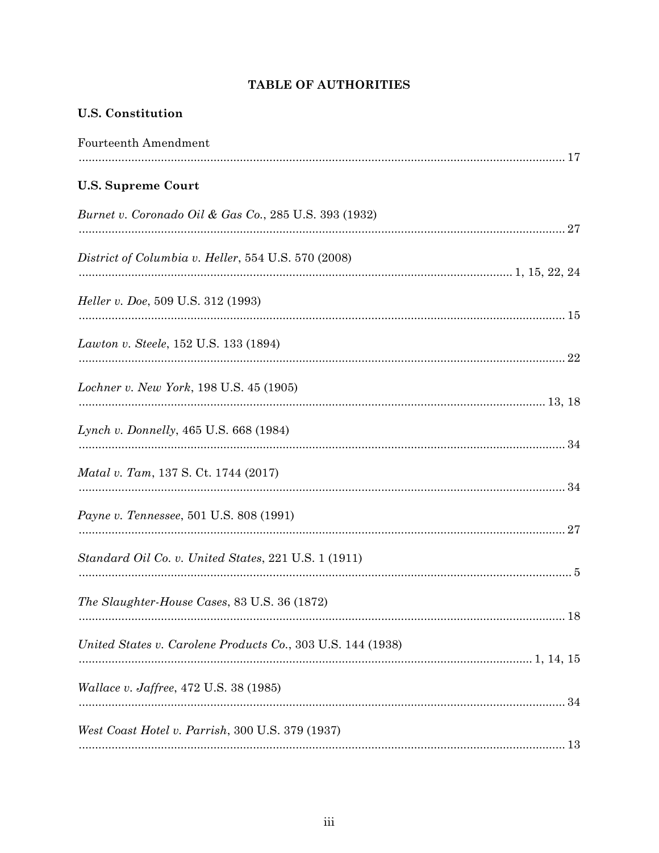# **TABLE OF AUTHORITIES**

| U.S. Constitution                                           |  |
|-------------------------------------------------------------|--|
| Fourteenth Amendment                                        |  |
| <b>U.S. Supreme Court</b>                                   |  |
| Burnet v. Coronado Oil & Gas Co., 285 U.S. 393 (1932)       |  |
| District of Columbia v. Heller, 554 U.S. 570 (2008)         |  |
| <i>Heller v. Doe,</i> 509 U.S. 312 (1993)                   |  |
| <i>Lawton v. Steele, 152 U.S. 133 (1894)</i>                |  |
| Lochner v. New York, 198 U.S. 45 (1905)                     |  |
| <i>Lynch v. Donnelly, 465 U.S. 668 (1984)</i>               |  |
| <i>Matal v. Tam, 137 S. Ct. 1744 (2017)</i>                 |  |
| <i>Payne v. Tennessee,</i> 501 U.S. 808 (1991)              |  |
| Standard Oil Co. v. United States, 221 U.S. 1 (1911)        |  |
| The Slaughter-House Cases, 83 U.S. 36 (1872)                |  |
| United States v. Carolene Products Co., 303 U.S. 144 (1938) |  |
| <i>Wallace v. Jaffree, 472 U.S. 38 (1985)</i>               |  |
| West Coast Hotel v. Parrish, 300 U.S. 379 (1937)            |  |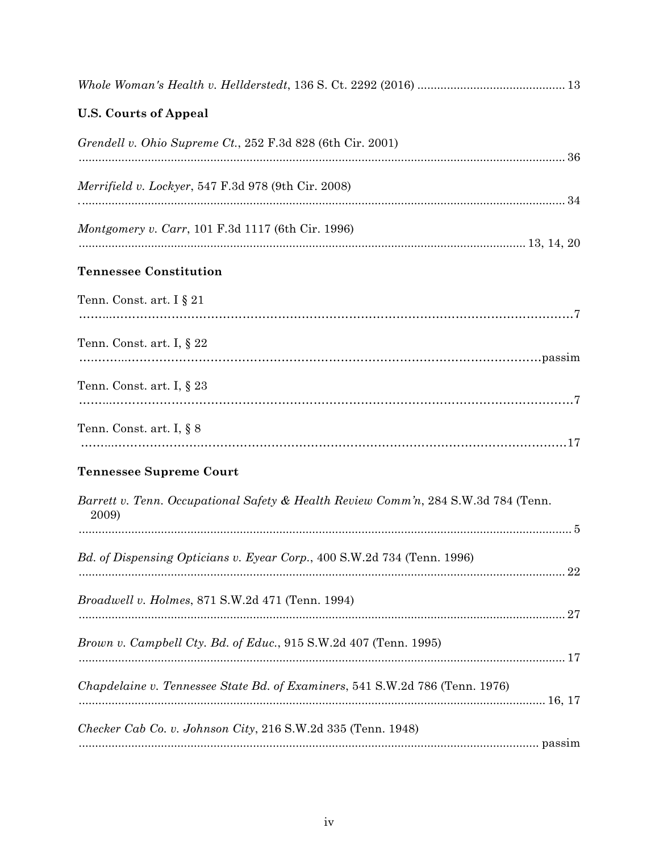| <b>U.S. Courts of Appeal</b>                                                                |
|---------------------------------------------------------------------------------------------|
| Grendell v. Ohio Supreme Ct., 252 F.3d 828 (6th Cir. 2001)                                  |
| Merrifield v. Lockyer, 547 F.3d 978 (9th Cir. 2008)                                         |
| Montgomery v. Carr, 101 F.3d 1117 (6th Cir. 1996)                                           |
| <b>Tennessee Constitution</b>                                                               |
| Tenn. Const. art. I $\S 21$                                                                 |
| Tenn. Const. art. I, § 22                                                                   |
| Tenn. Const. art. I, $\S 23$                                                                |
| Tenn. Const. art. I, § 8                                                                    |
| <b>Tennessee Supreme Court</b>                                                              |
| Barrett v. Tenn. Occupational Safety & Health Review Comm'n, 284 S.W.3d 784 (Tenn.<br>2009) |
| Bd. of Dispensing Opticians v. Eyear Corp., 400 S.W.2d 734 (Tenn. 1996)                     |
| Broadwell v. Holmes, 871 S.W.2d 471 (Tenn. 1994)                                            |
| <i>Brown v. Campbell Cty. Bd. of Educ.</i> , 915 S.W.2d 407 (Tenn. 1995)                    |
| Chapdelaine v. Tennessee State Bd. of Examiners, 541 S.W.2d 786 (Tenn. 1976)                |
| Checker Cab Co. v. Johnson City, 216 S.W.2d 335 (Tenn. 1948)                                |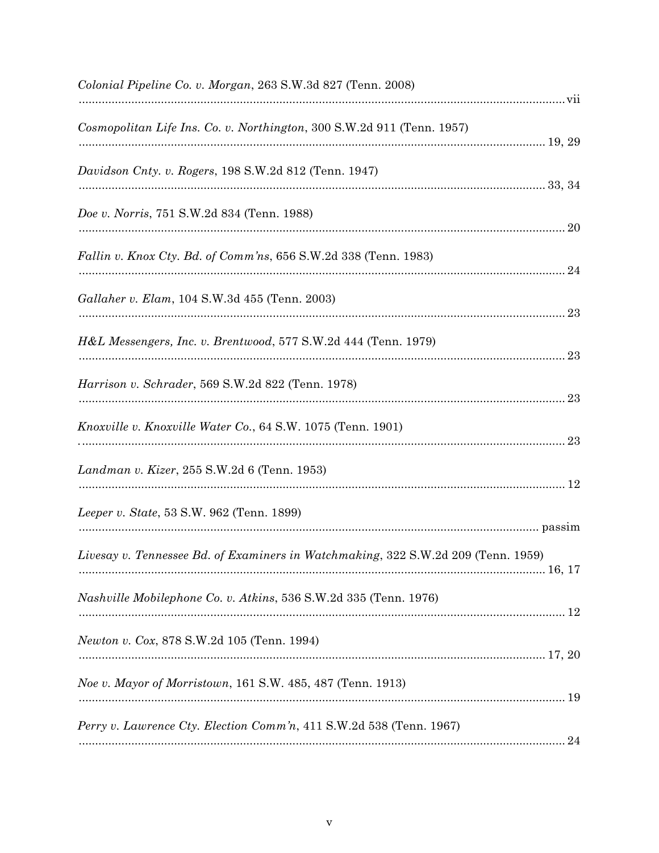| Colonial Pipeline Co. v. Morgan, 263 S.W.3d 827 (Tenn. 2008)                      |
|-----------------------------------------------------------------------------------|
| Cosmopolitan Life Ins. Co. v. Northington, 300 S.W.2d 911 (Tenn. 1957)            |
| Davidson Cnty. v. Rogers, 198 S.W.2d 812 (Tenn. 1947)                             |
| <i>Doe v. Norris, 751 S.W.2d 834 (Tenn. 1988)</i>                                 |
| Fallin v. Knox Cty. Bd. of Comm'ns, 656 S.W.2d 338 (Tenn. 1983)                   |
| Gallaher v. Elam, 104 S.W.3d 455 (Tenn. 2003)                                     |
| H&L Messengers, Inc. v. Brentwood, 577 S.W.2d 444 (Tenn. 1979)                    |
| <i>Harrison v. Schrader, 569 S.W.2d 822 (Tenn. 1978)</i><br>23                    |
| Knoxville v. Knoxville Water Co., 64 S.W. 1075 (Tenn. 1901)                       |
| <i>Landman v. Kizer</i> , 255 S.W.2d 6 (Tenn. 1953)                               |
| Leeper v. State, 53 S.W. 962 (Tenn. 1899)                                         |
| Livesay v. Tennessee Bd. of Examiners in Watchmaking, 322 S.W.2d 209 (Tenn. 1959) |
| Nashville Mobilephone Co. v. Atkins, 536 S.W.2d 335 (Tenn. 1976)                  |
| Newton v. Cox, 878 S.W.2d 105 (Tenn. 1994)                                        |
| <i>Noe v. Mayor of Morristown, 161 S.W. 485, 487 (Tenn. 1913)</i>                 |
| Perry v. Lawrence Cty. Election Comm'n, 411 S.W.2d 538 (Tenn. 1967)               |
|                                                                                   |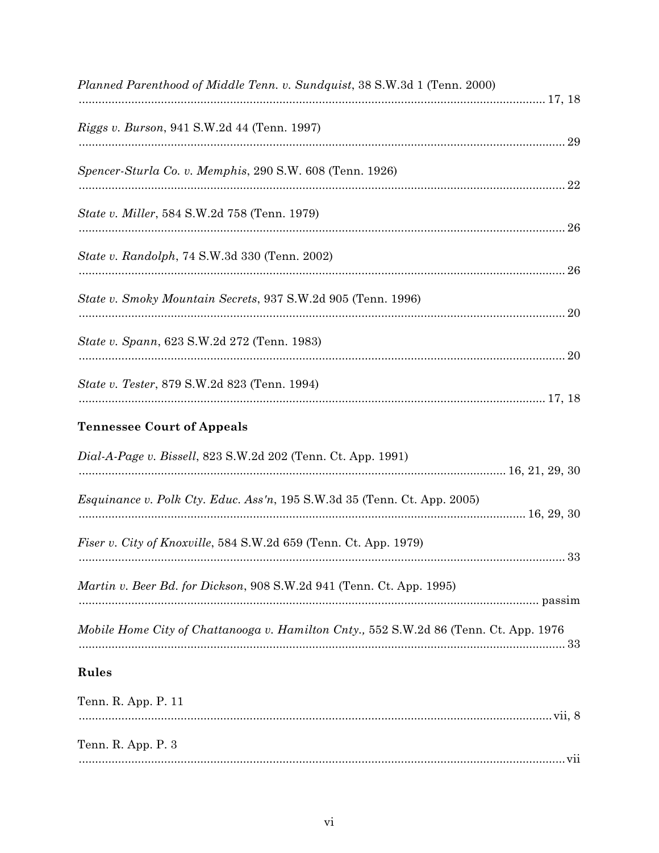| Planned Parenthood of Middle Tenn. v. Sundquist, 38 S.W.3d 1 (Tenn. 2000)             |
|---------------------------------------------------------------------------------------|
| <i>Riggs v. Burson</i> , 941 S.W.2d 44 (Tenn. 1997)                                   |
| Spencer-Sturla Co. v. Memphis, 290 S.W. 608 (Tenn. 1926)                              |
| <i>State v. Miller</i> , 584 S.W.2d 758 (Tenn. 1979)                                  |
| State v. Randolph, 74 S.W.3d 330 (Tenn. 2002)                                         |
| State v. Smoky Mountain Secrets, 937 S.W.2d 905 (Tenn. 1996)                          |
| <i>State v. Spann</i> , 623 S.W.2d 272 (Tenn. 1983)                                   |
| <i>State v. Tester, 879 S.W.2d 823 (Tenn. 1994)</i>                                   |
| <b>Tennessee Court of Appeals</b>                                                     |
| <i>Dial-A-Page v. Bissell</i> , 823 S.W.2d 202 (Tenn. Ct. App. 1991)                  |
| <i>Esquinance v. Polk Cty. Educ. Ass'n,</i> 195 S.W.3d 35 (Tenn. Ct. App. 2005)       |
| <i>Fiser v. City of Knoxville,</i> 584 S.W.2d 659 (Tenn. Ct. App. 1979)<br>33         |
| Martin v. Beer Bd. for Dickson, 908 S.W.2d 941 (Tenn. Ct. App. 1995)                  |
| Mobile Home City of Chattanooga v. Hamilton Cnty., 552 S.W.2d 86 (Tenn. Ct. App. 1976 |
| Rules                                                                                 |
| Tenn. R. App. P. 11                                                                   |
| Tenn. R. App. P. 3                                                                    |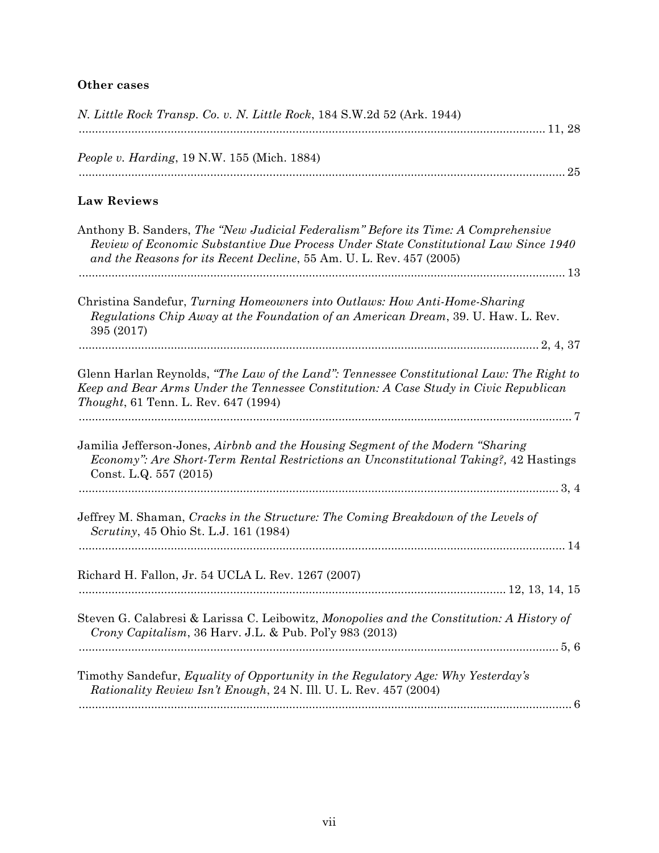# **Other cases**

| N. Little Rock Transp. Co. v. N. Little Rock, 184 S.W.2d 52 (Ark. 1944)                                                                                                                                                                            |
|----------------------------------------------------------------------------------------------------------------------------------------------------------------------------------------------------------------------------------------------------|
| <i>People v. Harding</i> , 19 N.W. 155 (Mich. 1884)<br>25                                                                                                                                                                                          |
| <b>Law Reviews</b>                                                                                                                                                                                                                                 |
| Anthony B. Sanders, The "New Judicial Federalism" Before its Time: A Comprehensive<br>Review of Economic Substantive Due Process Under State Constitutional Law Since 1940<br>and the Reasons for its Recent Decline, 55 Am. U. L. Rev. 457 (2005) |
| Christina Sandefur, Turning Homeowners into Outlaws: How Anti-Home-Sharing<br>Regulations Chip Away at the Foundation of an American Dream, 39. U. Haw. L. Rev.<br>395 (2017)                                                                      |
| Glenn Harlan Reynolds, "The Law of the Land": Tennessee Constitutional Law: The Right to<br>Keep and Bear Arms Under the Tennessee Constitution: A Case Study in Civic Republican<br><i>Thought</i> , 61 Tenn. L. Rev. 647 (1994)                  |
| Jamilia Jefferson-Jones, Airbnb and the Housing Segment of the Modern "Sharing"<br>Economy": Are Short-Term Rental Restrictions an Unconstitutional Taking?, 42 Hastings<br>Const. L.Q. 557 (2015)                                                 |
| Jeffrey M. Shaman, Cracks in the Structure: The Coming Breakdown of the Levels of<br><i>Scrutiny</i> , 45 Ohio St. L.J. 161 (1984)                                                                                                                 |
| Richard H. Fallon, Jr. 54 UCLA L. Rev. 1267 (2007)<br>12, 13, 14, 15                                                                                                                                                                               |
| Steven G. Calabresi & Larissa C. Leibowitz, Monopolies and the Constitution: A History of<br>Crony Capitalism, 36 Harv. J.L. & Pub. Pol'y 983 (2013)                                                                                               |
| Timothy Sandefur, Equality of Opportunity in the Regulatory Age: Why Yesterday's<br><i>Rationality Review Isn't Enough, 24 N. Ill. U. L. Rev. 457 (2004)</i>                                                                                       |
|                                                                                                                                                                                                                                                    |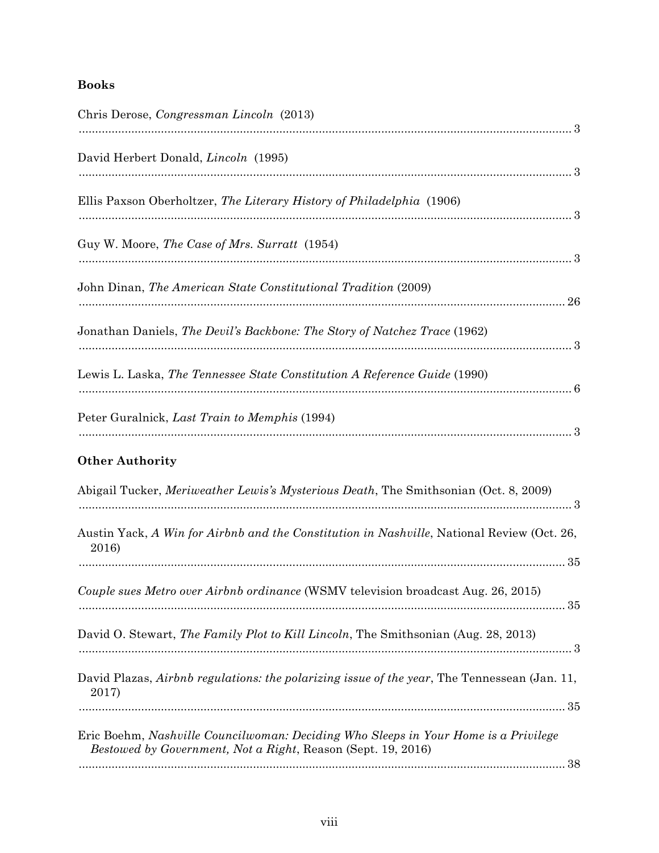# **Books**

| Chris Derose, Congressman Lincoln (2013)                                                                                                                   |
|------------------------------------------------------------------------------------------------------------------------------------------------------------|
| David Herbert Donald, Lincoln (1995)                                                                                                                       |
| Ellis Paxson Oberholtzer, The Literary History of Philadelphia (1906)                                                                                      |
| Guy W. Moore, The Case of Mrs. Surratt (1954)                                                                                                              |
| John Dinan, The American State Constitutional Tradition (2009)                                                                                             |
| Jonathan Daniels, The Devil's Backbone: The Story of Natchez Trace (1962)                                                                                  |
| Lewis L. Laska, The Tennessee State Constitution A Reference Guide (1990)                                                                                  |
| Peter Guralnick, Last Train to Memphis (1994)                                                                                                              |
| <b>Other Authority</b>                                                                                                                                     |
| Abigail Tucker, Meriweather Lewis's Mysterious Death, The Smithsonian (Oct. 8, 2009)                                                                       |
| Austin Yack, A Win for Airbnb and the Constitution in Nashville, National Review (Oct. 26,<br>2016)                                                        |
| Couple sues Metro over Airbnb ordinance (WSMV television broadcast Aug. 26, 2015)                                                                          |
| David O. Stewart, The Family Plot to Kill Lincoln, The Smithsonian (Aug. 28, 2013)                                                                         |
| David Plazas, Airbnb regulations: the polarizing issue of the year, The Tennessean (Jan. 11,<br>2017)                                                      |
| Eric Boehm, Nashville Councilwoman: Deciding Who Sleeps in Your Home is a Privilege<br>Bestowed by Government, Not a Right, Reason (Sept. 19, 2016)<br>.38 |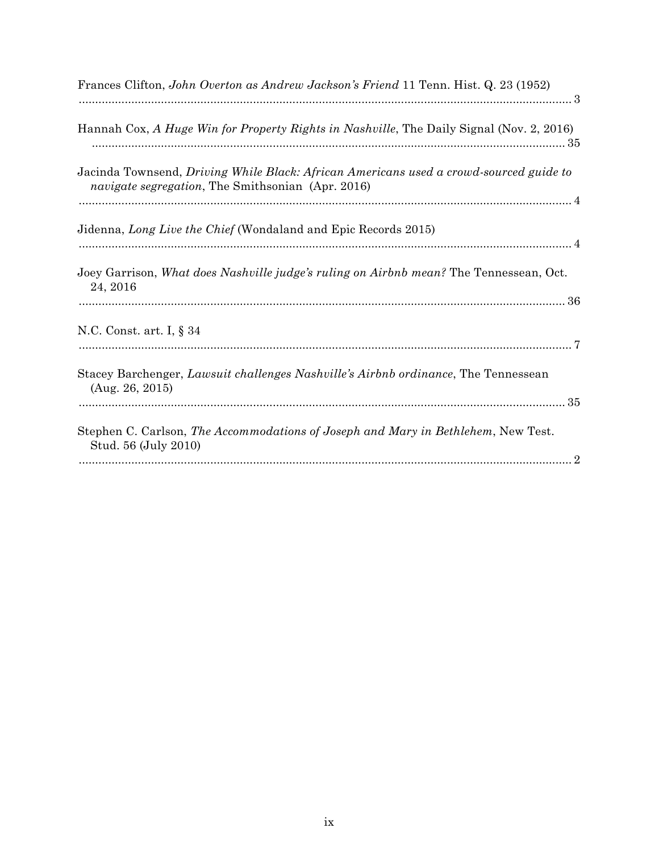| Frances Clifton, John Overton as Andrew Jackson's Friend 11 Tenn. Hist. Q. 23 (1952)                                                                |
|-----------------------------------------------------------------------------------------------------------------------------------------------------|
| Hannah Cox, A Huge Win for Property Rights in Nashville, The Daily Signal (Nov. 2, 2016)                                                            |
| Jacinda Townsend, Driving While Black: African Americans used a crowd-sourced guide to<br><i>navigate segregation</i> , The Smithsonian (Apr. 2016) |
| Jidenna, Long Live the Chief (Wondaland and Epic Records 2015)                                                                                      |
| Joey Garrison, <i>What does Nashville judge's ruling on Airbnb mean?</i> The Tennessean, Oct.<br>24, 2016                                           |
| N.C. Const. art. I, $\S 34$                                                                                                                         |
| Stacey Barchenger, <i>Lawsuit challenges Nashville's Airbnb ordinance</i> , The Tennessean<br>(Aug. 26, 2015)                                       |
| Stephen C. Carlson, The Accommodations of Joseph and Mary in Bethlehem, New Test.<br>Stud. 56 (July 2010)                                           |
|                                                                                                                                                     |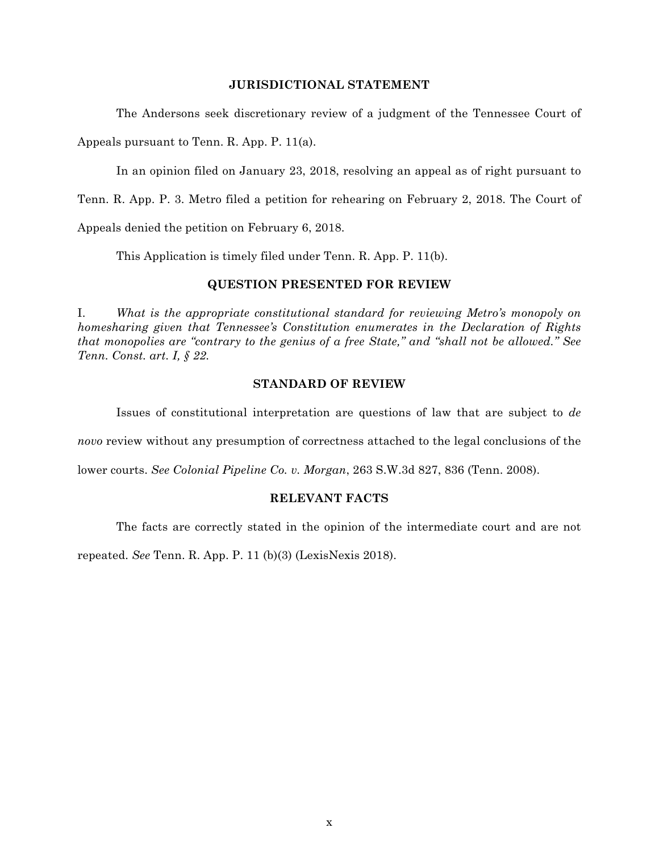### **JURISDICTIONAL STATEMENT**

The Andersons seek discretionary review of a judgment of the Tennessee Court of

Appeals pursuant to Tenn. R. App. P. 11(a).

In an opinion filed on January 23, 2018, resolving an appeal as of right pursuant to

Tenn. R. App. P. 3. Metro filed a petition for rehearing on February 2, 2018. The Court of

Appeals denied the petition on February 6, 2018.

This Application is timely filed under Tenn. R. App. P. 11(b).

### **QUESTION PRESENTED FOR REVIEW**

I. *What is the appropriate constitutional standard for reviewing Metro's monopoly on homesharing given that Tennessee's Constitution enumerates in the Declaration of Rights that monopolies are "contrary to the genius of a free State," and "shall not be allowed." See Tenn. Const. art. I, § 22.*

### **STANDARD OF REVIEW**

Issues of constitutional interpretation are questions of law that are subject to *de*

*novo* review without any presumption of correctness attached to the legal conclusions of the

lower courts. *See Colonial Pipeline Co. v. Morgan*, 263 S.W.3d 827, 836 (Tenn. 2008).

#### **RELEVANT FACTS**

The facts are correctly stated in the opinion of the intermediate court and are not

repeated. *See* Tenn. R. App. P. 11 (b)(3) (LexisNexis 2018).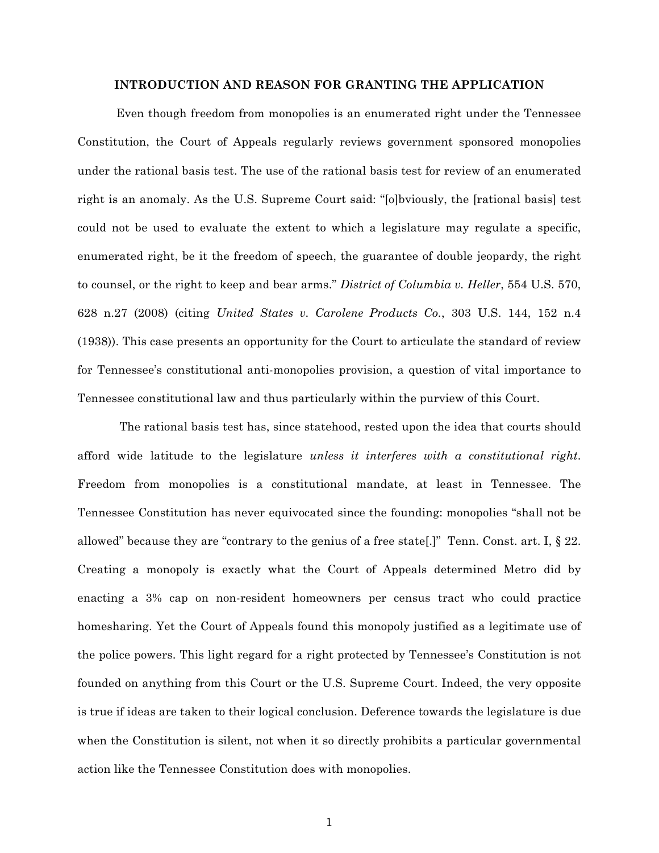#### **INTRODUCTION AND REASON FOR GRANTING THE APPLICATION**

Even though freedom from monopolies is an enumerated right under the Tennessee Constitution, the Court of Appeals regularly reviews government sponsored monopolies under the rational basis test. The use of the rational basis test for review of an enumerated right is an anomaly. As the U.S. Supreme Court said: "[o]bviously, the [rational basis] test could not be used to evaluate the extent to which a legislature may regulate a specific, enumerated right, be it the freedom of speech, the guarantee of double jeopardy, the right to counsel, or the right to keep and bear arms." *District of Columbia v. Heller*, 554 U.S. 570, 628 n.27 (2008) (citing *United States v. Carolene Products Co.*, 303 U.S. 144, 152 n.4 (1938)). This case presents an opportunity for the Court to articulate the standard of review for Tennessee's constitutional anti-monopolies provision, a question of vital importance to Tennessee constitutional law and thus particularly within the purview of this Court.

The rational basis test has, since statehood, rested upon the idea that courts should afford wide latitude to the legislature *unless it interferes with a constitutional right*. Freedom from monopolies is a constitutional mandate, at least in Tennessee. The Tennessee Constitution has never equivocated since the founding: monopolies "shall not be allowed" because they are "contrary to the genius of a free state[.]" Tenn. Const. art. I, § 22. Creating a monopoly is exactly what the Court of Appeals determined Metro did by enacting a 3% cap on non-resident homeowners per census tract who could practice homesharing. Yet the Court of Appeals found this monopoly justified as a legitimate use of the police powers. This light regard for a right protected by Tennessee's Constitution is not founded on anything from this Court or the U.S. Supreme Court. Indeed, the very opposite is true if ideas are taken to their logical conclusion. Deference towards the legislature is due when the Constitution is silent, not when it so directly prohibits a particular governmental action like the Tennessee Constitution does with monopolies.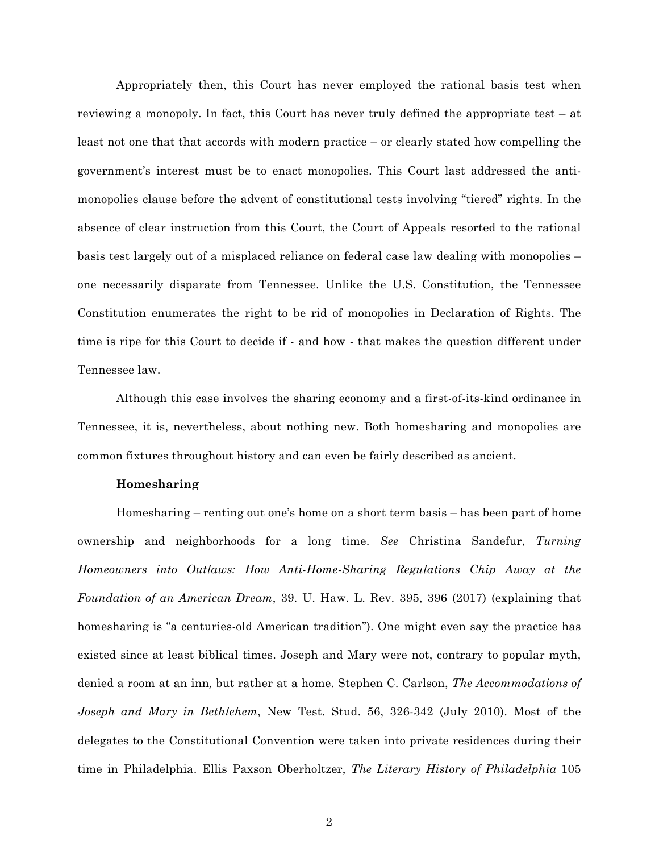Appropriately then, this Court has never employed the rational basis test when reviewing a monopoly. In fact, this Court has never truly defined the appropriate test – at least not one that that accords with modern practice – or clearly stated how compelling the government's interest must be to enact monopolies. This Court last addressed the antimonopolies clause before the advent of constitutional tests involving "tiered" rights. In the absence of clear instruction from this Court, the Court of Appeals resorted to the rational basis test largely out of a misplaced reliance on federal case law dealing with monopolies – one necessarily disparate from Tennessee. Unlike the U.S. Constitution, the Tennessee Constitution enumerates the right to be rid of monopolies in Declaration of Rights. The time is ripe for this Court to decide if - and how - that makes the question different under Tennessee law.

Although this case involves the sharing economy and a first-of-its-kind ordinance in Tennessee, it is, nevertheless, about nothing new. Both homesharing and monopolies are common fixtures throughout history and can even be fairly described as ancient.

#### **Homesharing**

Homesharing – renting out one's home on a short term basis – has been part of home ownership and neighborhoods for a long time. *See* Christina Sandefur, *Turning Homeowners into Outlaws: How Anti-Home-Sharing Regulations Chip Away at the Foundation of an American Dream*, 39. U. Haw. L. Rev. 395, 396 (2017) (explaining that homesharing is "a centuries-old American tradition"). One might even say the practice has existed since at least biblical times. Joseph and Mary were not, contrary to popular myth, denied a room at an inn*,* but rather at a home. Stephen C. Carlson, *The Accommodations of Joseph and Mary in Bethlehem*, New Test. Stud. 56, 326-342 (July 2010). Most of the delegates to the Constitutional Convention were taken into private residences during their time in Philadelphia. Ellis Paxson Oberholtzer, *The Literary History of Philadelphia* 105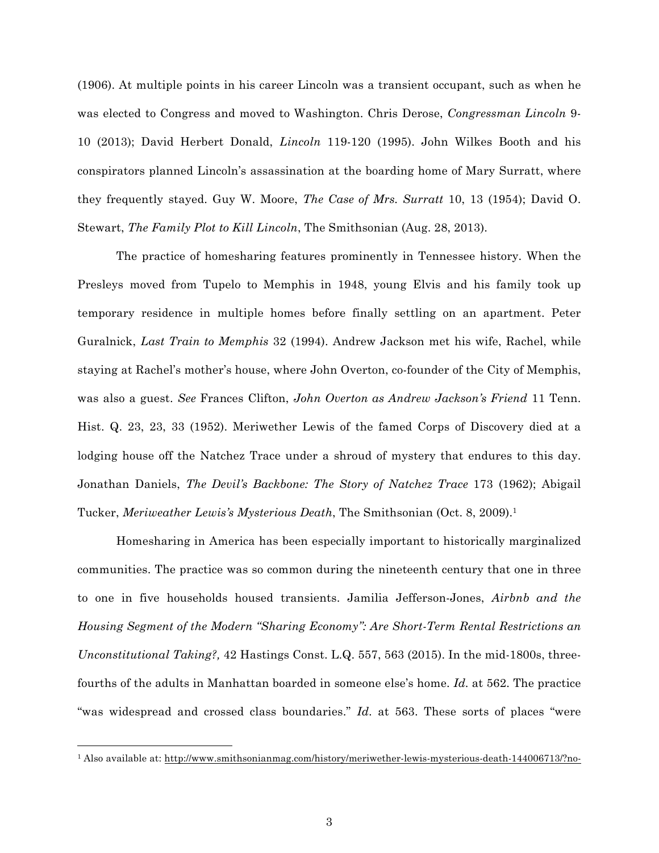(1906). At multiple points in his career Lincoln was a transient occupant, such as when he was elected to Congress and moved to Washington. Chris Derose, *Congressman Lincoln* 9- 10 (2013); David Herbert Donald, *Lincoln* 119-120 (1995). John Wilkes Booth and his conspirators planned Lincoln's assassination at the boarding home of Mary Surratt, where they frequently stayed. Guy W. Moore, *The Case of Mrs. Surratt* 10, 13 (1954); David O. Stewart, *The Family Plot to Kill Lincoln*, The Smithsonian (Aug. 28, 2013).

The practice of homesharing features prominently in Tennessee history. When the Presleys moved from Tupelo to Memphis in 1948, young Elvis and his family took up temporary residence in multiple homes before finally settling on an apartment. Peter Guralnick, *Last Train to Memphis* 32 (1994). Andrew Jackson met his wife, Rachel, while staying at Rachel's mother's house, where John Overton, co-founder of the City of Memphis, was also a guest. *See* Frances Clifton, *John Overton as Andrew Jackson's Friend* 11 Tenn. Hist. Q. 23, 23, 33 (1952). Meriwether Lewis of the famed Corps of Discovery died at a lodging house off the Natchez Trace under a shroud of mystery that endures to this day. Jonathan Daniels, *The Devil's Backbone: The Story of Natchez Trace* 173 (1962); Abigail Tucker, *Meriweather Lewis's Mysterious Death*, The Smithsonian (Oct. 8, 2009). 1

Homesharing in America has been especially important to historically marginalized communities. The practice was so common during the nineteenth century that one in three to one in five households housed transients. Jamilia Jefferson-Jones, *Airbnb and the Housing Segment of the Modern "Sharing Economy": Are Short-Term Rental Restrictions an Unconstitutional Taking?,* 42 Hastings Const. L.Q. 557, 563 (2015). In the mid-1800s, threefourths of the adults in Manhattan boarded in someone else's home. *Id.* at 562. The practice "was widespread and crossed class boundaries." *Id*. at 563. These sorts of places "were

<sup>1</sup> Also available at: http://www.smithsonianmag.com/history/meriwether-lewis-mysterious-death-144006713/?no-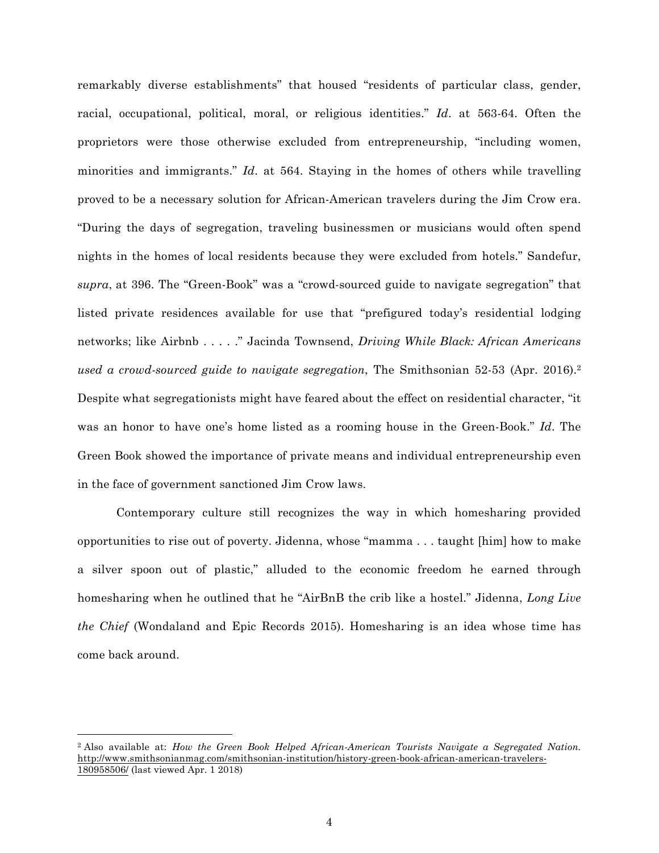remarkably diverse establishments" that housed "residents of particular class, gender, racial, occupational, political, moral, or religious identities." *Id*. at 563-64. Often the proprietors were those otherwise excluded from entrepreneurship, "including women, minorities and immigrants." *Id*. at 564. Staying in the homes of others while travelling proved to be a necessary solution for African-American travelers during the Jim Crow era. "During the days of segregation, traveling businessmen or musicians would often spend nights in the homes of local residents because they were excluded from hotels." Sandefur, *supra*, at 396. The "Green-Book" was a "crowd-sourced guide to navigate segregation" that listed private residences available for use that "prefigured today's residential lodging networks; like Airbnb . . . . ." Jacinda Townsend, *Driving While Black: African Americans used a crowd-sourced guide to navigate segregation*, The Smithsonian 52-53 (Apr. 2016). 2 Despite what segregationists might have feared about the effect on residential character, "it was an honor to have one's home listed as a rooming house in the Green-Book." *Id*. The Green Book showed the importance of private means and individual entrepreneurship even in the face of government sanctioned Jim Crow laws.

Contemporary culture still recognizes the way in which homesharing provided opportunities to rise out of poverty. Jidenna, whose "mamma . . . taught [him] how to make a silver spoon out of plastic," alluded to the economic freedom he earned through homesharing when he outlined that he "AirBnB the crib like a hostel." Jidenna, *Long Live the Chief* (Wondaland and Epic Records 2015). Homesharing is an idea whose time has come back around.

<sup>2</sup> Also available at: *How the Green Book Helped African-American Tourists Navigate a Segregated Nation.* http://www.smithsonianmag.com/smithsonian-institution/history-green-book-african-american-travelers-180958506/ (last viewed Apr. 1 2018)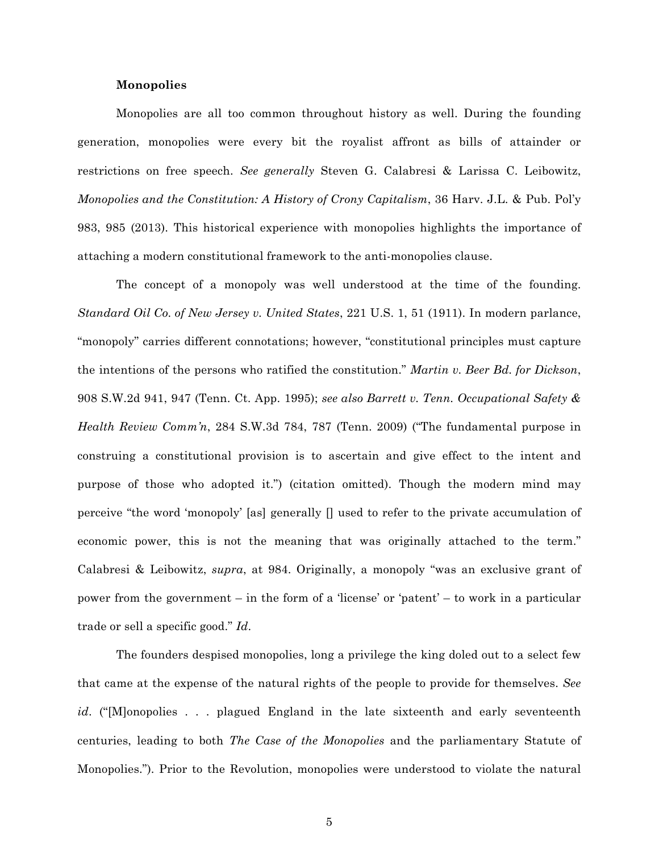#### **Monopolies**

Monopolies are all too common throughout history as well. During the founding generation, monopolies were every bit the royalist affront as bills of attainder or restrictions on free speech. *See generally* Steven G. Calabresi & Larissa C. Leibowitz, *Monopolies and the Constitution: A History of Crony Capitalism*, 36 Harv. J.L. & Pub. Pol'y 983, 985 (2013). This historical experience with monopolies highlights the importance of attaching a modern constitutional framework to the anti-monopolies clause.

The concept of a monopoly was well understood at the time of the founding. *Standard Oil Co. of New Jersey v. United States*, 221 U.S. 1, 51 (1911). In modern parlance, "monopoly" carries different connotations; however, "constitutional principles must capture the intentions of the persons who ratified the constitution." *Martin v. Beer Bd. for Dickson*, 908 S.W.2d 941, 947 (Tenn. Ct. App. 1995); *see also Barrett v. Tenn. Occupational Safety & Health Review Comm'n*, 284 S.W.3d 784, 787 (Tenn. 2009) ("The fundamental purpose in construing a constitutional provision is to ascertain and give effect to the intent and purpose of those who adopted it.") (citation omitted). Though the modern mind may perceive "the word 'monopoly' [as] generally [] used to refer to the private accumulation of economic power, this is not the meaning that was originally attached to the term." Calabresi & Leibowitz, *supra*, at 984. Originally, a monopoly "was an exclusive grant of power from the government – in the form of a 'license' or 'patent' – to work in a particular trade or sell a specific good." *Id*.

The founders despised monopolies, long a privilege the king doled out to a select few that came at the expense of the natural rights of the people to provide for themselves. *See id.* ("[M]onopolies ... plagued England in the late sixteenth and early seventeenth centuries, leading to both *The Case of the Monopolies* and the parliamentary Statute of Monopolies."). Prior to the Revolution, monopolies were understood to violate the natural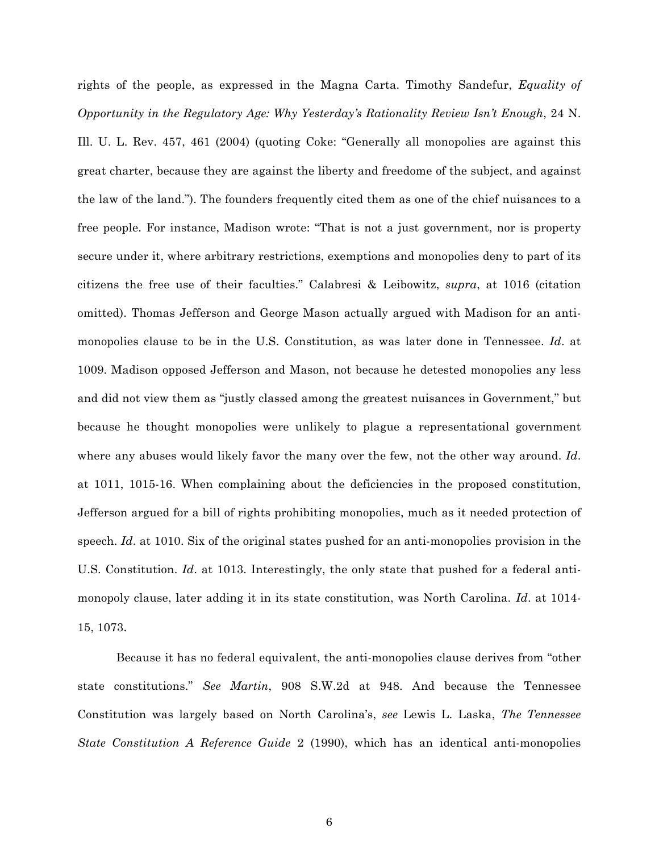rights of the people, as expressed in the Magna Carta. Timothy Sandefur, *Equality of Opportunity in the Regulatory Age: Why Yesterday's Rationality Review Isn't Enough*, 24 N. Ill. U. L. Rev. 457, 461 (2004) (quoting Coke: "Generally all monopolies are against this great charter, because they are against the liberty and freedome of the subject, and against the law of the land."). The founders frequently cited them as one of the chief nuisances to a free people. For instance, Madison wrote: "That is not a just government, nor is property secure under it, where arbitrary restrictions, exemptions and monopolies deny to part of its citizens the free use of their faculties." Calabresi & Leibowitz, *supra*, at 1016 (citation omitted). Thomas Jefferson and George Mason actually argued with Madison for an antimonopolies clause to be in the U.S. Constitution, as was later done in Tennessee. *Id*. at 1009. Madison opposed Jefferson and Mason, not because he detested monopolies any less and did not view them as "justly classed among the greatest nuisances in Government," but because he thought monopolies were unlikely to plague a representational government where any abuses would likely favor the many over the few, not the other way around. *Id*. at 1011, 1015-16. When complaining about the deficiencies in the proposed constitution, Jefferson argued for a bill of rights prohibiting monopolies, much as it needed protection of speech. *Id*. at 1010. Six of the original states pushed for an anti-monopolies provision in the U.S. Constitution. *Id*. at 1013. Interestingly, the only state that pushed for a federal antimonopoly clause, later adding it in its state constitution, was North Carolina. *Id*. at 1014- 15, 1073.

Because it has no federal equivalent, the anti-monopolies clause derives from "other state constitutions." *See Martin*, 908 S.W.2d at 948. And because the Tennessee Constitution was largely based on North Carolina's, *see* Lewis L. Laska, *The Tennessee State Constitution A Reference Guide* 2 (1990), which has an identical anti-monopolies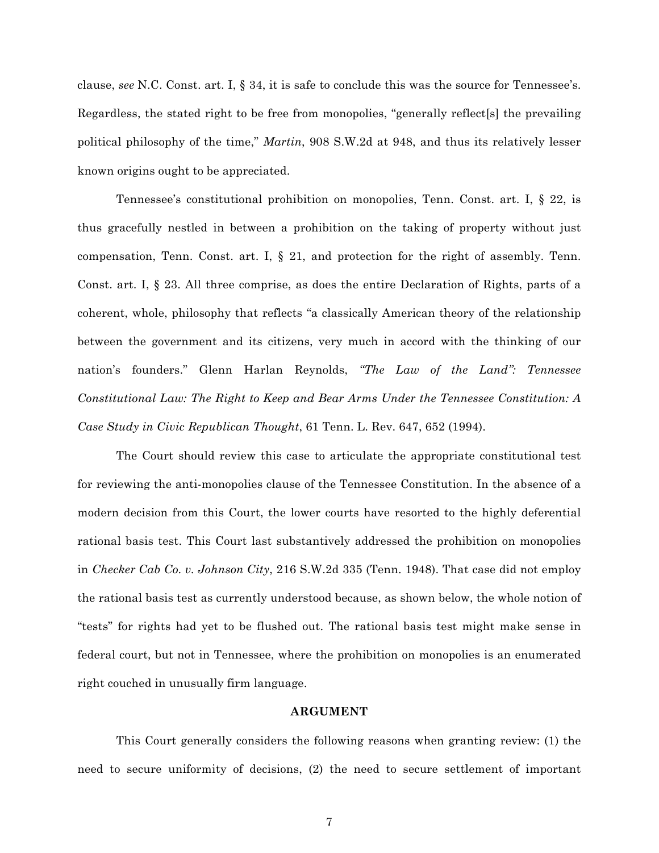clause, *see* N.C. Const. art. I, § 34, it is safe to conclude this was the source for Tennessee's. Regardless, the stated right to be free from monopolies, "generally reflect[s] the prevailing political philosophy of the time," *Martin*, 908 S.W.2d at 948, and thus its relatively lesser known origins ought to be appreciated.

Tennessee's constitutional prohibition on monopolies, Tenn. Const. art. I, § 22, is thus gracefully nestled in between a prohibition on the taking of property without just compensation, Tenn. Const. art. I, § 21, and protection for the right of assembly. Tenn. Const. art. I, § 23. All three comprise, as does the entire Declaration of Rights, parts of a coherent, whole, philosophy that reflects "a classically American theory of the relationship between the government and its citizens, very much in accord with the thinking of our nation's founders." Glenn Harlan Reynolds, *"The Law of the Land": Tennessee Constitutional Law: The Right to Keep and Bear Arms Under the Tennessee Constitution: A Case Study in Civic Republican Thought*, 61 Tenn. L. Rev. 647, 652 (1994).

The Court should review this case to articulate the appropriate constitutional test for reviewing the anti-monopolies clause of the Tennessee Constitution. In the absence of a modern decision from this Court, the lower courts have resorted to the highly deferential rational basis test. This Court last substantively addressed the prohibition on monopolies in *Checker Cab Co. v. Johnson City*, 216 S.W.2d 335 (Tenn. 1948). That case did not employ the rational basis test as currently understood because, as shown below, the whole notion of "tests" for rights had yet to be flushed out. The rational basis test might make sense in federal court, but not in Tennessee, where the prohibition on monopolies is an enumerated right couched in unusually firm language.

#### **ARGUMENT**

This Court generally considers the following reasons when granting review: (1) the need to secure uniformity of decisions, (2) the need to secure settlement of important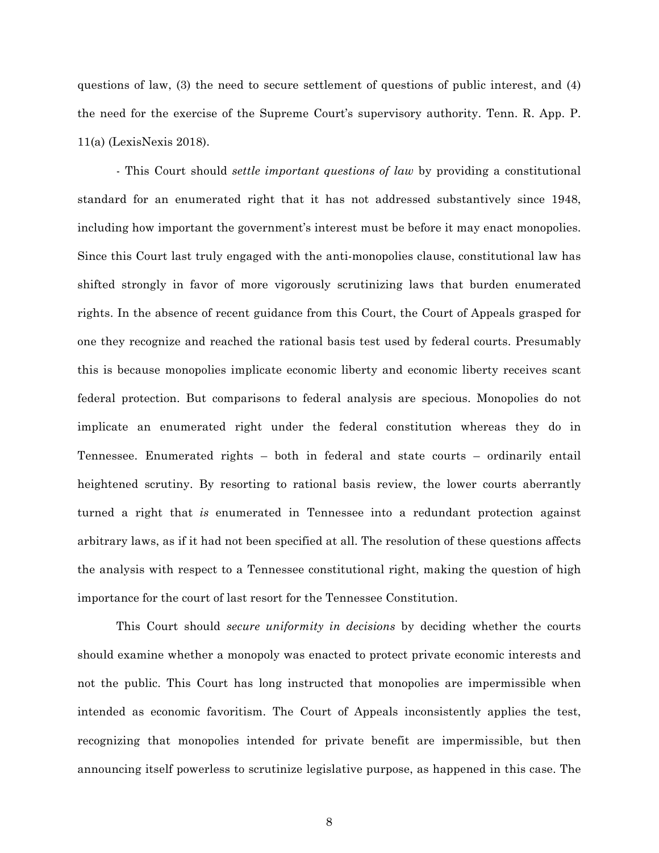questions of law, (3) the need to secure settlement of questions of public interest, and (4) the need for the exercise of the Supreme Court's supervisory authority. Tenn. R. App. P. 11(a) (LexisNexis 2018).

- This Court should *settle important questions of law* by providing a constitutional standard for an enumerated right that it has not addressed substantively since 1948, including how important the government's interest must be before it may enact monopolies. Since this Court last truly engaged with the anti-monopolies clause, constitutional law has shifted strongly in favor of more vigorously scrutinizing laws that burden enumerated rights. In the absence of recent guidance from this Court, the Court of Appeals grasped for one they recognize and reached the rational basis test used by federal courts. Presumably this is because monopolies implicate economic liberty and economic liberty receives scant federal protection. But comparisons to federal analysis are specious. Monopolies do not implicate an enumerated right under the federal constitution whereas they do in Tennessee. Enumerated rights – both in federal and state courts – ordinarily entail heightened scrutiny. By resorting to rational basis review, the lower courts aberrantly turned a right that *is* enumerated in Tennessee into a redundant protection against arbitrary laws, as if it had not been specified at all. The resolution of these questions affects the analysis with respect to a Tennessee constitutional right, making the question of high importance for the court of last resort for the Tennessee Constitution.

This Court should *secure uniformity in decisions* by deciding whether the courts should examine whether a monopoly was enacted to protect private economic interests and not the public. This Court has long instructed that monopolies are impermissible when intended as economic favoritism. The Court of Appeals inconsistently applies the test, recognizing that monopolies intended for private benefit are impermissible, but then announcing itself powerless to scrutinize legislative purpose, as happened in this case. The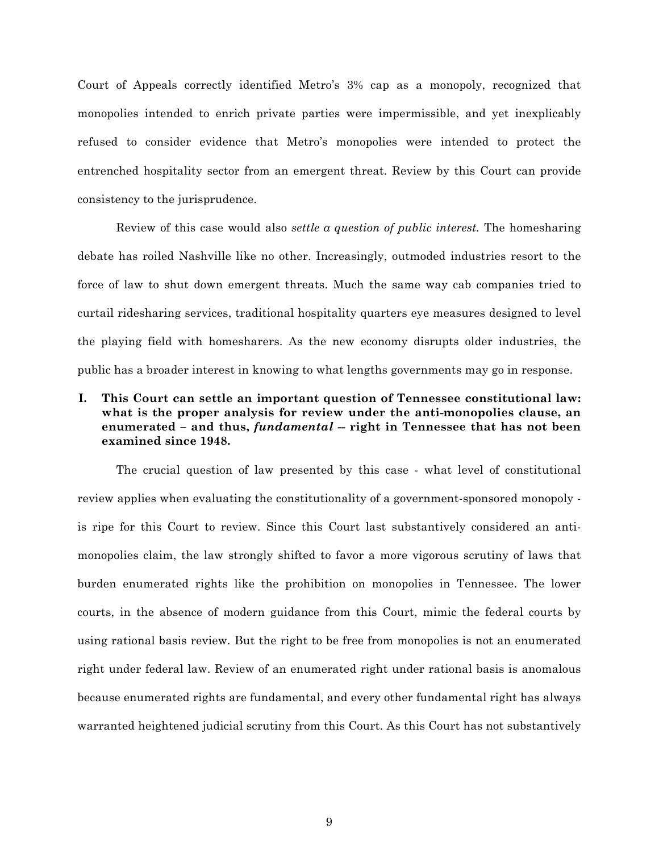Court of Appeals correctly identified Metro's 3% cap as a monopoly, recognized that monopolies intended to enrich private parties were impermissible, and yet inexplicably refused to consider evidence that Metro's monopolies were intended to protect the entrenched hospitality sector from an emergent threat. Review by this Court can provide consistency to the jurisprudence.

Review of this case would also *settle a question of public interest.* The homesharing debate has roiled Nashville like no other. Increasingly, outmoded industries resort to the force of law to shut down emergent threats. Much the same way cab companies tried to curtail ridesharing services, traditional hospitality quarters eye measures designed to level the playing field with homesharers. As the new economy disrupts older industries, the public has a broader interest in knowing to what lengths governments may go in response.

## **I. This Court can settle an important question of Tennessee constitutional law: what is the proper analysis for review under the anti-monopolies clause, an enumerated – and thus,** *fundamental* **-***-* **right in Tennessee that has not been examined since 1948.**

The crucial question of law presented by this case - what level of constitutional review applies when evaluating the constitutionality of a government-sponsored monopoly is ripe for this Court to review. Since this Court last substantively considered an antimonopolies claim, the law strongly shifted to favor a more vigorous scrutiny of laws that burden enumerated rights like the prohibition on monopolies in Tennessee. The lower courts, in the absence of modern guidance from this Court, mimic the federal courts by using rational basis review. But the right to be free from monopolies is not an enumerated right under federal law. Review of an enumerated right under rational basis is anomalous because enumerated rights are fundamental, and every other fundamental right has always warranted heightened judicial scrutiny from this Court. As this Court has not substantively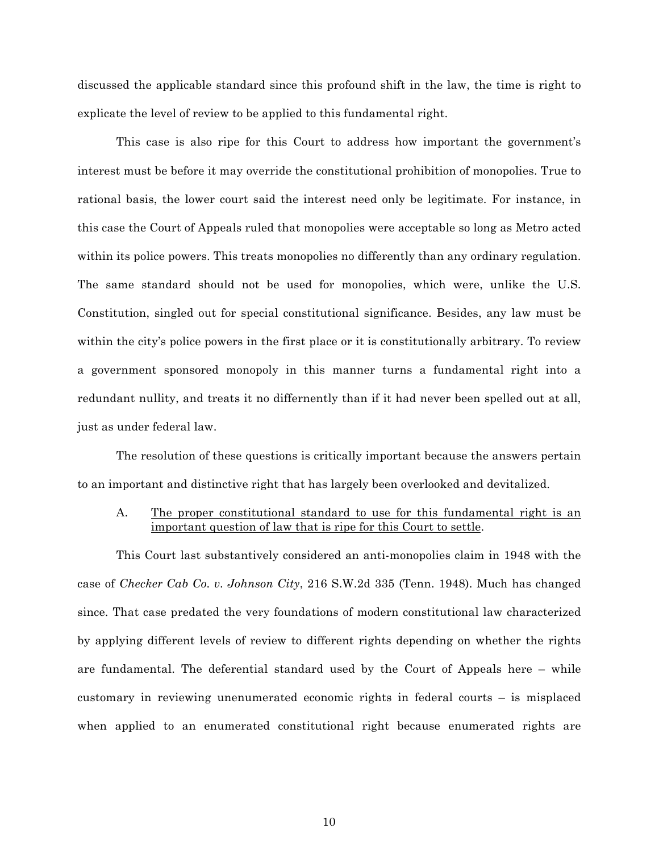discussed the applicable standard since this profound shift in the law, the time is right to explicate the level of review to be applied to this fundamental right.

This case is also ripe for this Court to address how important the government's interest must be before it may override the constitutional prohibition of monopolies. True to rational basis, the lower court said the interest need only be legitimate. For instance, in this case the Court of Appeals ruled that monopolies were acceptable so long as Metro acted within its police powers. This treats monopolies no differently than any ordinary regulation. The same standard should not be used for monopolies, which were, unlike the U.S. Constitution, singled out for special constitutional significance. Besides, any law must be within the city's police powers in the first place or it is constitutionally arbitrary. To review a government sponsored monopoly in this manner turns a fundamental right into a redundant nullity, and treats it no differnently than if it had never been spelled out at all, just as under federal law.

The resolution of these questions is critically important because the answers pertain to an important and distinctive right that has largely been overlooked and devitalized.

A. The proper constitutional standard to use for this fundamental right is an important question of law that is ripe for this Court to settle.

This Court last substantively considered an anti-monopolies claim in 1948 with the case of *Checker Cab Co. v. Johnson City*, 216 S.W.2d 335 (Tenn. 1948). Much has changed since. That case predated the very foundations of modern constitutional law characterized by applying different levels of review to different rights depending on whether the rights are fundamental. The deferential standard used by the Court of Appeals here – while customary in reviewing unenumerated economic rights in federal courts – is misplaced when applied to an enumerated constitutional right because enumerated rights are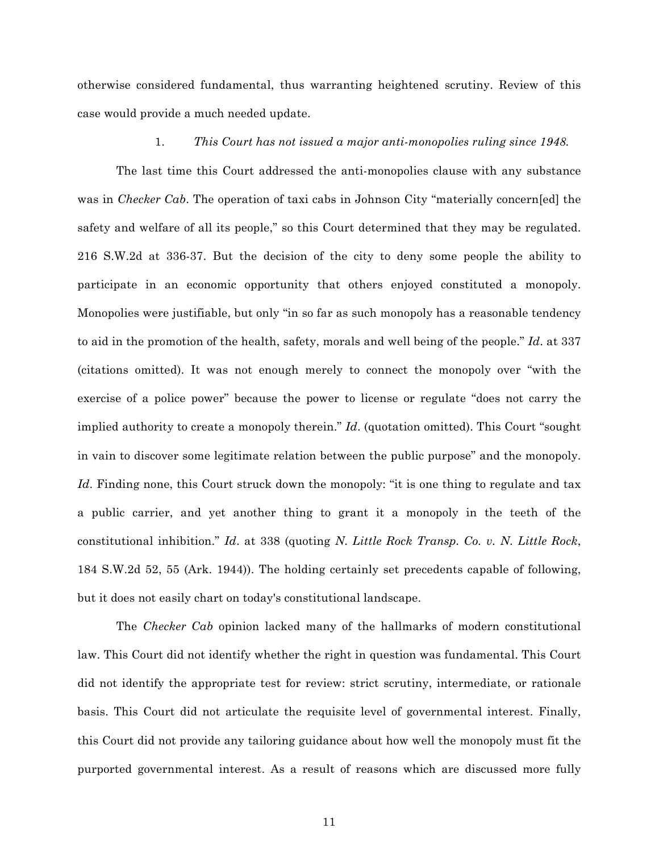otherwise considered fundamental, thus warranting heightened scrutiny. Review of this case would provide a much needed update.

#### 1. *This Court has not issued a major anti-monopolies ruling since 1948.*

The last time this Court addressed the anti-monopolies clause with any substance was in *Checker Cab*. The operation of taxi cabs in Johnson City "materially concern[ed] the safety and welfare of all its people," so this Court determined that they may be regulated. 216 S.W.2d at 336-37. But the decision of the city to deny some people the ability to participate in an economic opportunity that others enjoyed constituted a monopoly. Monopolies were justifiable, but only "in so far as such monopoly has a reasonable tendency to aid in the promotion of the health, safety, morals and well being of the people." *Id*. at 337 (citations omitted). It was not enough merely to connect the monopoly over "with the exercise of a police power" because the power to license or regulate "does not carry the implied authority to create a monopoly therein." *Id*. (quotation omitted). This Court "sought in vain to discover some legitimate relation between the public purpose" and the monopoly. Id. Finding none, this Court struck down the monopoly: "it is one thing to regulate and tax a public carrier, and yet another thing to grant it a monopoly in the teeth of the constitutional inhibition." *Id*. at 338 (quoting *N. Little Rock Transp. Co. v. N. Little Rock*, 184 S.W.2d 52, 55 (Ark. 1944)). The holding certainly set precedents capable of following, but it does not easily chart on today's constitutional landscape.

The *Checker Cab* opinion lacked many of the hallmarks of modern constitutional law. This Court did not identify whether the right in question was fundamental. This Court did not identify the appropriate test for review: strict scrutiny, intermediate, or rationale basis. This Court did not articulate the requisite level of governmental interest. Finally, this Court did not provide any tailoring guidance about how well the monopoly must fit the purported governmental interest. As a result of reasons which are discussed more fully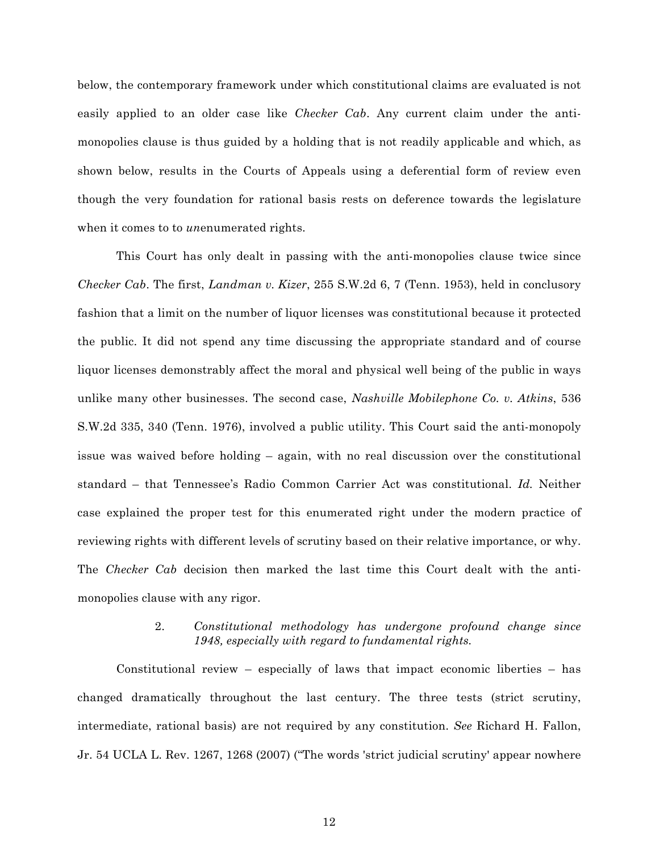below, the contemporary framework under which constitutional claims are evaluated is not easily applied to an older case like *Checker Cab*. Any current claim under the antimonopolies clause is thus guided by a holding that is not readily applicable and which, as shown below, results in the Courts of Appeals using a deferential form of review even though the very foundation for rational basis rests on deference towards the legislature when it comes to to *un*enumerated rights.

This Court has only dealt in passing with the anti-monopolies clause twice since *Checker Cab*. The first, *Landman v. Kizer*, 255 S.W.2d 6, 7 (Tenn. 1953), held in conclusory fashion that a limit on the number of liquor licenses was constitutional because it protected the public. It did not spend any time discussing the appropriate standard and of course liquor licenses demonstrably affect the moral and physical well being of the public in ways unlike many other businesses. The second case, *Nashville Mobilephone Co. v. Atkins*, 536 S.W.2d 335, 340 (Tenn. 1976), involved a public utility. This Court said the anti-monopoly issue was waived before holding – again, with no real discussion over the constitutional standard – that Tennessee's Radio Common Carrier Act was constitutional. *Id.* Neither case explained the proper test for this enumerated right under the modern practice of reviewing rights with different levels of scrutiny based on their relative importance, or why. The *Checker Cab* decision then marked the last time this Court dealt with the antimonopolies clause with any rigor.

### 2. *Constitutional methodology has undergone profound change since 1948, especially with regard to fundamental rights.*

Constitutional review – especially of laws that impact economic liberties – has changed dramatically throughout the last century. The three tests (strict scrutiny, intermediate, rational basis) are not required by any constitution. *See* Richard H. Fallon, Jr. 54 UCLA L. Rev. 1267, 1268 (2007) ("The words 'strict judicial scrutiny' appear nowhere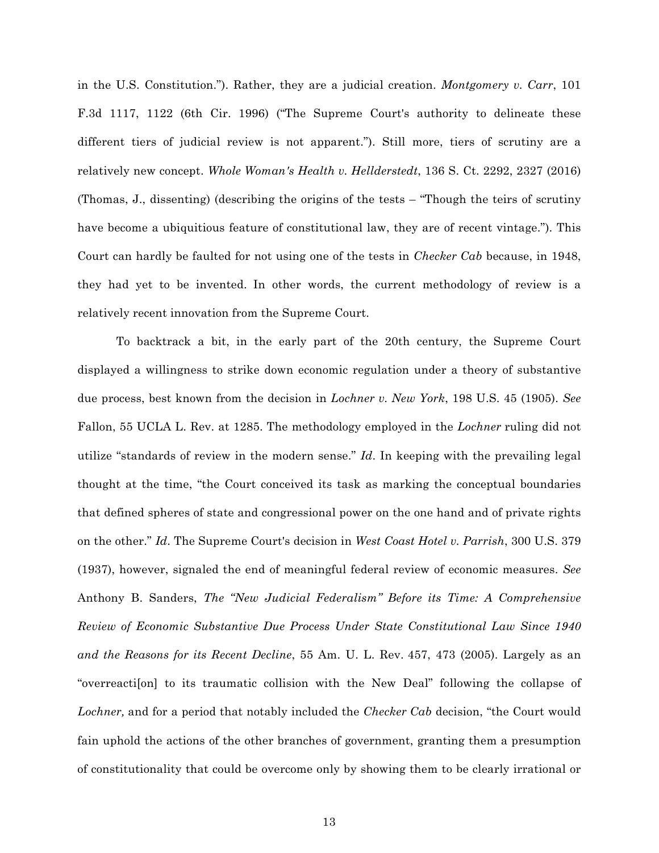in the U.S. Constitution."). Rather, they are a judicial creation. *Montgomery v. Carr*, 101 F.3d 1117, 1122 (6th Cir. 1996) ("The Supreme Court's authority to delineate these different tiers of judicial review is not apparent."). Still more, tiers of scrutiny are a relatively new concept. *Whole Woman's Health v. Hellderstedt*, 136 S. Ct. 2292, 2327 (2016) (Thomas, J., dissenting) (describing the origins of the tests – "Though the teirs of scrutiny have become a ubiquitious feature of constitutional law, they are of recent vintage."). This Court can hardly be faulted for not using one of the tests in *Checker Cab* because, in 1948, they had yet to be invented. In other words, the current methodology of review is a relatively recent innovation from the Supreme Court.

To backtrack a bit, in the early part of the 20th century, the Supreme Court displayed a willingness to strike down economic regulation under a theory of substantive due process, best known from the decision in *Lochner v. New York*, 198 U.S. 45 (1905). *See* Fallon, 55 UCLA L. Rev. at 1285. The methodology employed in the *Lochner* ruling did not utilize "standards of review in the modern sense." *Id*. In keeping with the prevailing legal thought at the time, "the Court conceived its task as marking the conceptual boundaries that defined spheres of state and congressional power on the one hand and of private rights on the other." *Id*. The Supreme Court's decision in *West Coast Hotel v. Parrish*, 300 U.S. 379 (1937), however, signaled the end of meaningful federal review of economic measures. *See* Anthony B. Sanders, *The "New Judicial Federalism" Before its Time: A Comprehensive Review of Economic Substantive Due Process Under State Constitutional Law Since 1940 and the Reasons for its Recent Decline*, 55 Am. U. L. Rev. 457, 473 (2005). Largely as an "overreacti[on] to its traumatic collision with the New Deal" following the collapse of *Lochner,* and for a period that notably included the *Checker Cab* decision, "the Court would fain uphold the actions of the other branches of government, granting them a presumption of constitutionality that could be overcome only by showing them to be clearly irrational or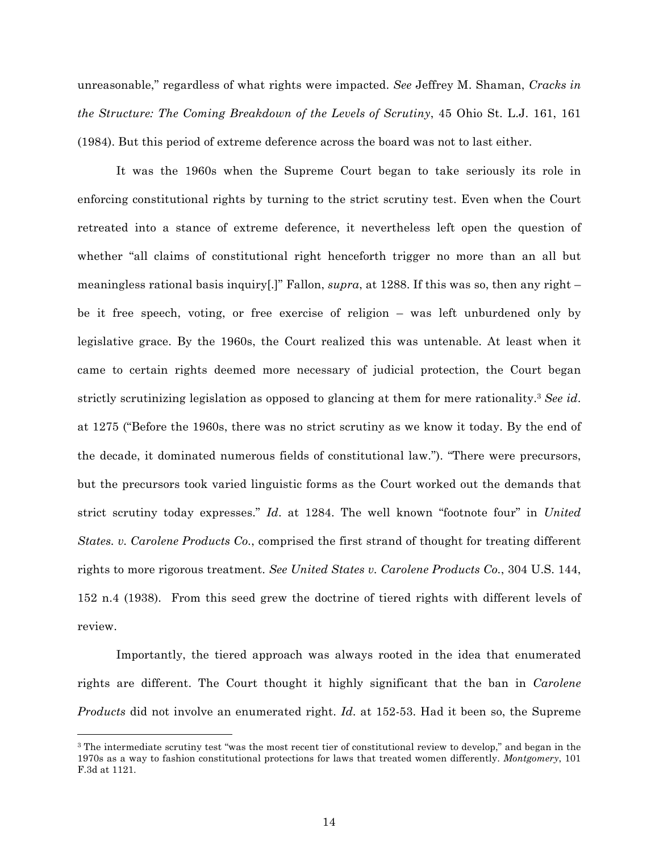unreasonable," regardless of what rights were impacted. *See* Jeffrey M. Shaman, *Cracks in the Structure: The Coming Breakdown of the Levels of Scrutiny*, 45 Ohio St. L.J. 161, 161 (1984). But this period of extreme deference across the board was not to last either.

It was the 1960s when the Supreme Court began to take seriously its role in enforcing constitutional rights by turning to the strict scrutiny test. Even when the Court retreated into a stance of extreme deference, it nevertheless left open the question of whether "all claims of constitutional right henceforth trigger no more than an all but meaningless rational basis inquiry[.]" Fallon, *supra*, at 1288. If this was so, then any right – be it free speech, voting, or free exercise of religion – was left unburdened only by legislative grace. By the 1960s, the Court realized this was untenable. At least when it came to certain rights deemed more necessary of judicial protection, the Court began strictly scrutinizing legislation as opposed to glancing at them for mere rationality.3 *See id*. at 1275 ("Before the 1960s, there was no strict scrutiny as we know it today. By the end of the decade, it dominated numerous fields of constitutional law."). "There were precursors, but the precursors took varied linguistic forms as the Court worked out the demands that strict scrutiny today expresses." *Id*. at 1284. The well known "footnote four" in *United States. v. Carolene Products Co.*, comprised the first strand of thought for treating different rights to more rigorous treatment. *See United States v. Carolene Products Co.*, 304 U.S. 144, 152 n.4 (1938). From this seed grew the doctrine of tiered rights with different levels of review.

Importantly, the tiered approach was always rooted in the idea that enumerated rights are different. The Court thought it highly significant that the ban in *Carolene Products* did not involve an enumerated right. *Id*. at 152-53. Had it been so, the Supreme

<sup>&</sup>lt;sup>3</sup> The intermediate scrutiny test "was the most recent tier of constitutional review to develop," and began in the 1970s as a way to fashion constitutional protections for laws that treated women differently. *Montgomery*, 101 F.3d at 1121.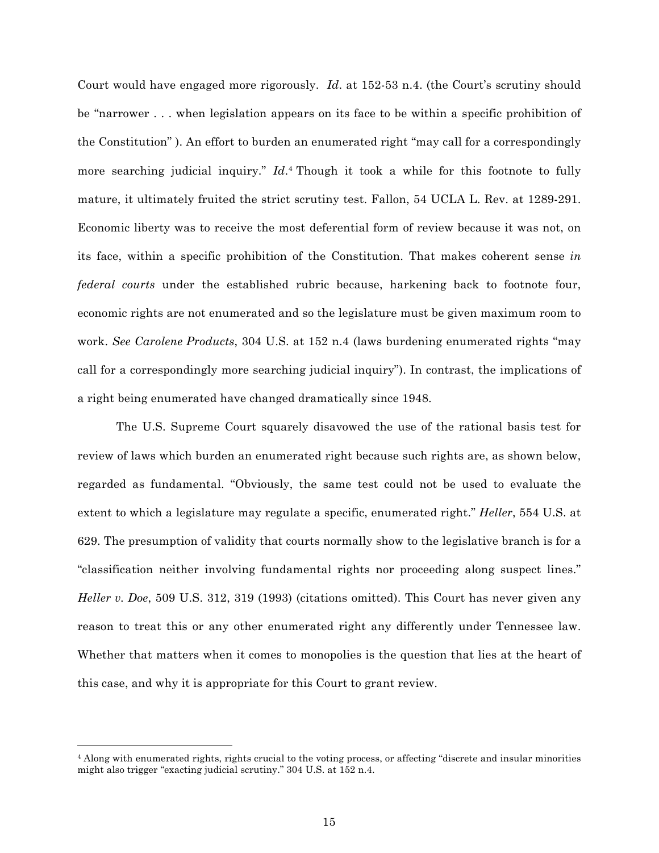Court would have engaged more rigorously. *Id*. at 152-53 n.4. (the Court's scrutiny should be "narrower . . . when legislation appears on its face to be within a specific prohibition of the Constitution" ). An effort to burden an enumerated right "may call for a correspondingly more searching judicial inquiry." *Id*.4 Though it took a while for this footnote to fully mature, it ultimately fruited the strict scrutiny test. Fallon, 54 UCLA L. Rev. at 1289-291. Economic liberty was to receive the most deferential form of review because it was not, on its face, within a specific prohibition of the Constitution. That makes coherent sense *in federal courts* under the established rubric because, harkening back to footnote four, economic rights are not enumerated and so the legislature must be given maximum room to work. *See Carolene Products*, 304 U.S. at 152 n.4 (laws burdening enumerated rights "may call for a correspondingly more searching judicial inquiry"). In contrast, the implications of a right being enumerated have changed dramatically since 1948.

The U.S. Supreme Court squarely disavowed the use of the rational basis test for review of laws which burden an enumerated right because such rights are, as shown below, regarded as fundamental. "Obviously, the same test could not be used to evaluate the extent to which a legislature may regulate a specific, enumerated right." *Heller*, 554 U.S. at 629. The presumption of validity that courts normally show to the legislative branch is for a "classification neither involving fundamental rights nor proceeding along suspect lines." *Heller v. Doe*, 509 U.S. 312, 319 (1993) (citations omitted). This Court has never given any reason to treat this or any other enumerated right any differently under Tennessee law. Whether that matters when it comes to monopolies is the question that lies at the heart of this case, and why it is appropriate for this Court to grant review.

<sup>4</sup> Along with enumerated rights, rights crucial to the voting process, or affecting "discrete and insular minorities might also trigger "exacting judicial scrutiny." 304 U.S. at 152 n.4.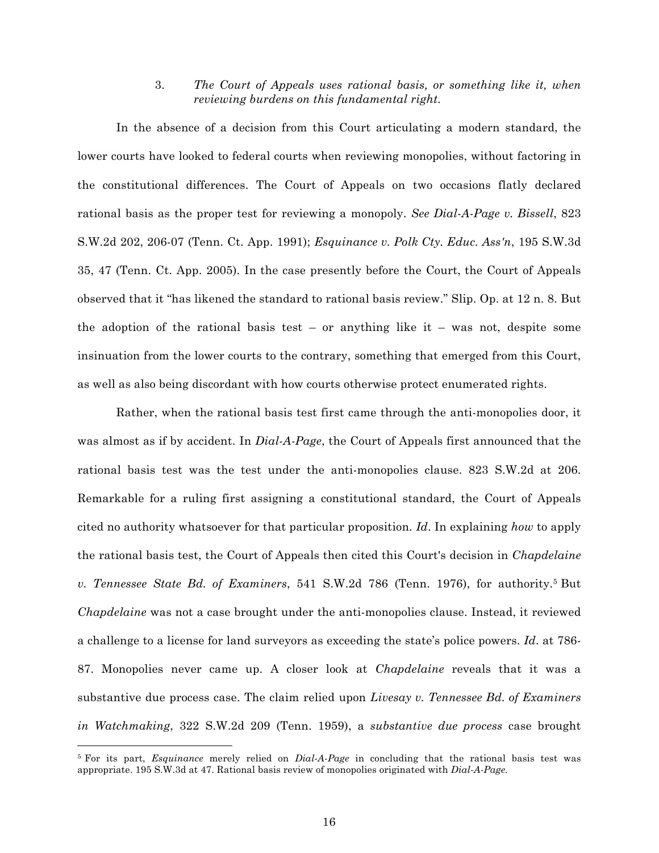3. *The Court of Appeals uses rational basis, or something like it, when reviewing burdens on this fundamental right.*

In the absence of a decision from this Court articulating a modern standard, the lower courts have looked to federal courts when reviewing monopolies, without factoring in the constitutional differences. The Court of Appeals on two occasions flatly declared rational basis as the proper test for reviewing a monopoly. *See Dial-A-Page v. Bissell*, 823 S.W.2d 202, 206-07 (Tenn. Ct. App. 1991); *Esquinance v. Polk Cty. Educ. Ass'n*, 195 S.W.3d 35, 47 (Tenn. Ct. App. 2005). In the case presently before the Court, the Court of Appeals observed that it "has likened the standard to rational basis review." Slip. Op. at 12 n. 8. But the adoption of the rational basis test – or anything like it – was not, despite some insinuation from the lower courts to the contrary, something that emerged from this Court, as well as also being discordant with how courts otherwise protect enumerated rights.

Rather, when the rational basis test first came through the anti-monopolies door, it was almost as if by accident. In *Dial-A-Page*, the Court of Appeals first announced that the rational basis test was the test under the anti-monopolies clause. 823 S.W.2d at 206. Remarkable for a ruling first assigning a constitutional standard, the Court of Appeals cited no authority whatsoever for that particular proposition. *Id*. In explaining *how* to apply the rational basis test, the Court of Appeals then cited this Court's decision in *Chapdelaine v. Tennessee State Bd. of Examiners*, 541 S.W.2d 786 (Tenn. 1976), for authority.5 But *Chapdelaine* was not a case brought under the anti-monopolies clause. Instead, it reviewed a challenge to a license for land surveyors as exceeding the state's police powers. *Id*. at 786- 87. Monopolies never came up. A closer look at *Chapdelaine* reveals that it was a substantive due process case. The claim relied upon *Livesay v. Tennessee Bd. of Examiners in Watchmaking*, 322 S.W.2d 209 (Tenn. 1959), a *substantive due process* case brought

<sup>5</sup> For its part, *Esquinance* merely relied on *Dial-A-Page* in concluding that the rational basis test was appropriate. 195 S.W.3d at 47. Rational basis review of monopolies originated with *Dial-A-Page.*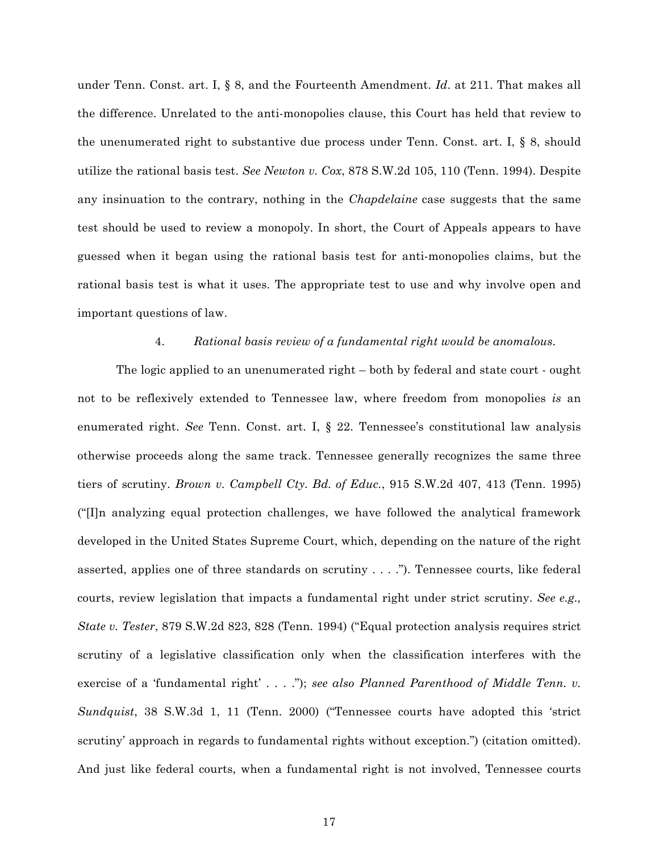under Tenn. Const. art. I, § 8, and the Fourteenth Amendment. *Id*. at 211. That makes all the difference. Unrelated to the anti-monopolies clause, this Court has held that review to the unenumerated right to substantive due process under Tenn. Const. art. I, § 8, should utilize the rational basis test. *See Newton v. Cox*, 878 S.W.2d 105, 110 (Tenn. 1994). Despite any insinuation to the contrary, nothing in the *Chapdelaine* case suggests that the same test should be used to review a monopoly. In short, the Court of Appeals appears to have guessed when it began using the rational basis test for anti-monopolies claims, but the rational basis test is what it uses. The appropriate test to use and why involve open and important questions of law.

#### 4. *Rational basis review of a fundamental right would be anomalous*.

The logic applied to an unenumerated right – both by federal and state court - ought not to be reflexively extended to Tennessee law, where freedom from monopolies *is* an enumerated right. *See* Tenn. Const. art. I, § 22. Tennessee's constitutional law analysis otherwise proceeds along the same track. Tennessee generally recognizes the same three tiers of scrutiny. *Brown v. Campbell Cty. Bd. of Educ.*, 915 S.W.2d 407, 413 (Tenn. 1995) ("[I]n analyzing equal protection challenges, we have followed the analytical framework developed in the United States Supreme Court, which, depending on the nature of the right asserted, applies one of three standards on scrutiny . . . ."). Tennessee courts, like federal courts, review legislation that impacts a fundamental right under strict scrutiny. *See e.g., State v. Tester*, 879 S.W.2d 823, 828 (Tenn. 1994) ("Equal protection analysis requires strict scrutiny of a legislative classification only when the classification interferes with the exercise of a 'fundamental right' . . . ."); *see also Planned Parenthood of Middle Tenn. v. Sundquist*, 38 S.W.3d 1, 11 (Tenn. 2000) ("Tennessee courts have adopted this 'strict scrutiny' approach in regards to fundamental rights without exception.") (citation omitted). And just like federal courts, when a fundamental right is not involved, Tennessee courts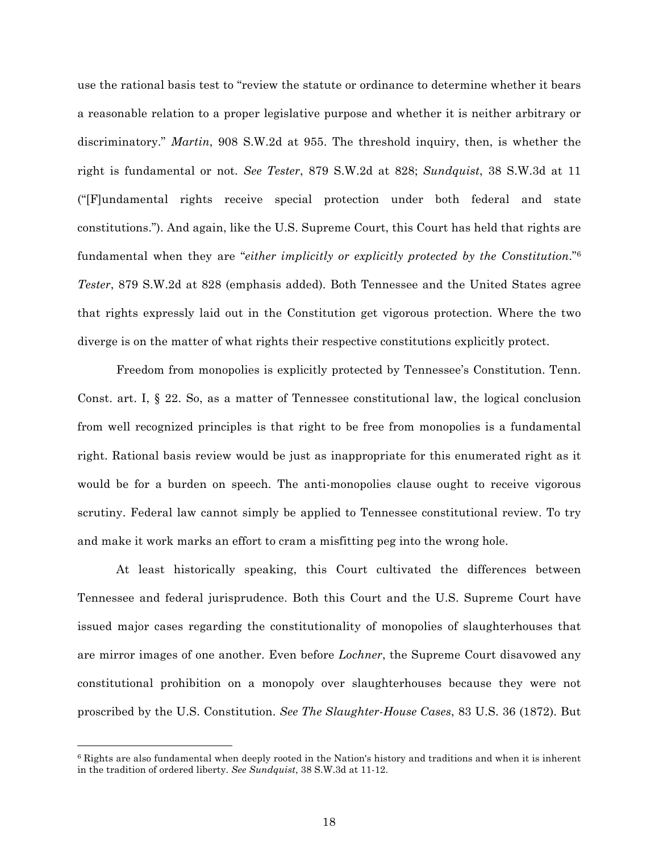use the rational basis test to "review the statute or ordinance to determine whether it bears a reasonable relation to a proper legislative purpose and whether it is neither arbitrary or discriminatory." *Martin*, 908 S.W.2d at 955. The threshold inquiry, then, is whether the right is fundamental or not. *See Tester*, 879 S.W.2d at 828; *Sundquist*, 38 S.W.3d at 11 ("[F]undamental rights receive special protection under both federal and state constitutions."). And again, like the U.S. Supreme Court, this Court has held that rights are fundamental when they are "*either implicitly or explicitly protected by the Constitution*."6 *Tester*, 879 S.W.2d at 828 (emphasis added). Both Tennessee and the United States agree that rights expressly laid out in the Constitution get vigorous protection. Where the two diverge is on the matter of what rights their respective constitutions explicitly protect.

Freedom from monopolies is explicitly protected by Tennessee's Constitution. Tenn. Const. art. I, § 22. So, as a matter of Tennessee constitutional law, the logical conclusion from well recognized principles is that right to be free from monopolies is a fundamental right. Rational basis review would be just as inappropriate for this enumerated right as it would be for a burden on speech. The anti-monopolies clause ought to receive vigorous scrutiny. Federal law cannot simply be applied to Tennessee constitutional review. To try and make it work marks an effort to cram a misfitting peg into the wrong hole.

At least historically speaking, this Court cultivated the differences between Tennessee and federal jurisprudence. Both this Court and the U.S. Supreme Court have issued major cases regarding the constitutionality of monopolies of slaughterhouses that are mirror images of one another. Even before *Lochner*, the Supreme Court disavowed any constitutional prohibition on a monopoly over slaughterhouses because they were not proscribed by the U.S. Constitution. *See The Slaughter-House Cases*, 83 U.S. 36 (1872). But

<sup>6</sup> Rights are also fundamental when deeply rooted in the Nation's history and traditions and when it is inherent in the tradition of ordered liberty. *See Sundquist*, 38 S.W.3d at 11-12.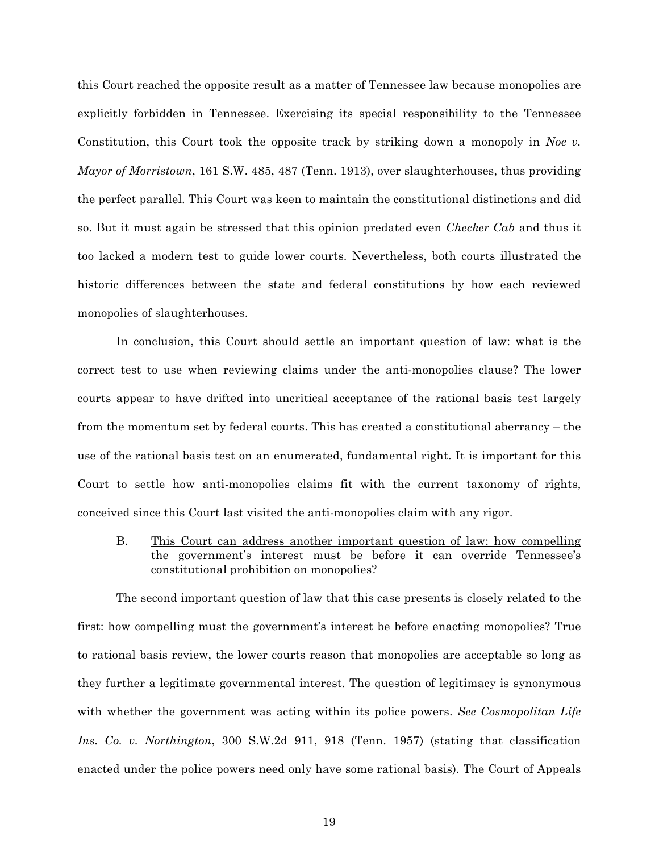this Court reached the opposite result as a matter of Tennessee law because monopolies are explicitly forbidden in Tennessee. Exercising its special responsibility to the Tennessee Constitution, this Court took the opposite track by striking down a monopoly in *Noe v. Mayor of Morristown*, 161 S.W. 485, 487 (Tenn. 1913), over slaughterhouses, thus providing the perfect parallel. This Court was keen to maintain the constitutional distinctions and did so. But it must again be stressed that this opinion predated even *Checker Cab* and thus it too lacked a modern test to guide lower courts. Nevertheless, both courts illustrated the historic differences between the state and federal constitutions by how each reviewed monopolies of slaughterhouses.

In conclusion, this Court should settle an important question of law: what is the correct test to use when reviewing claims under the anti-monopolies clause? The lower courts appear to have drifted into uncritical acceptance of the rational basis test largely from the momentum set by federal courts. This has created a constitutional aberrancy – the use of the rational basis test on an enumerated, fundamental right. It is important for this Court to settle how anti-monopolies claims fit with the current taxonomy of rights, conceived since this Court last visited the anti-monopolies claim with any rigor.

B. This Court can address another important question of law: how compelling the government's interest must be before it can override Tennessee's constitutional prohibition on monopolies?

The second important question of law that this case presents is closely related to the first: how compelling must the government's interest be before enacting monopolies? True to rational basis review, the lower courts reason that monopolies are acceptable so long as they further a legitimate governmental interest. The question of legitimacy is synonymous with whether the government was acting within its police powers. *See Cosmopolitan Life Ins. Co. v. Northington*, 300 S.W.2d 911, 918 (Tenn. 1957) (stating that classification enacted under the police powers need only have some rational basis). The Court of Appeals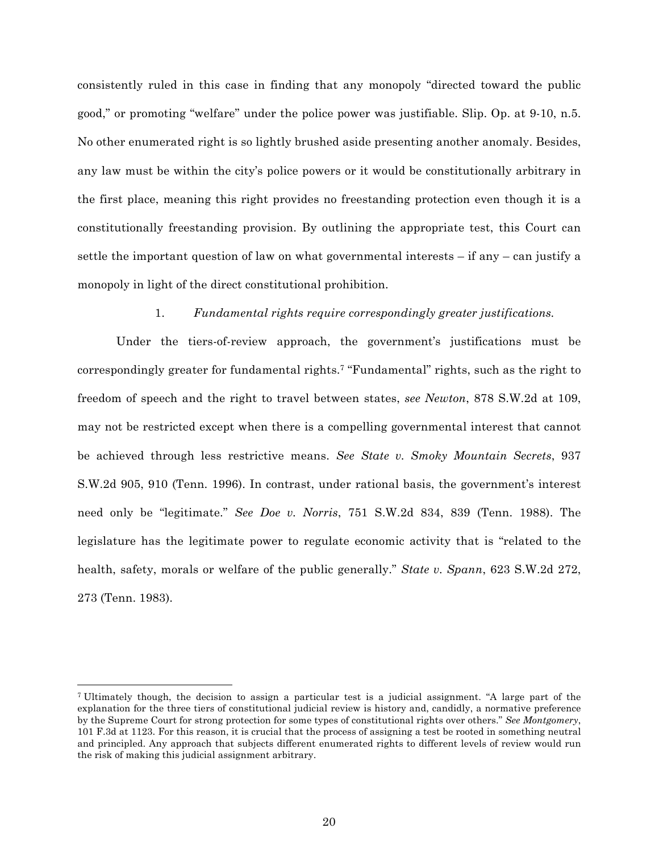consistently ruled in this case in finding that any monopoly "directed toward the public good," or promoting "welfare" under the police power was justifiable. Slip. Op. at 9-10, n.5. No other enumerated right is so lightly brushed aside presenting another anomaly. Besides, any law must be within the city's police powers or it would be constitutionally arbitrary in the first place, meaning this right provides no freestanding protection even though it is a constitutionally freestanding provision. By outlining the appropriate test, this Court can settle the important question of law on what governmental interests  $-$  if any  $-$  can justify a monopoly in light of the direct constitutional prohibition.

### 1. *Fundamental rights require correspondingly greater justifications.*

Under the tiers-of-review approach, the government's justifications must be correspondingly greater for fundamental rights.7 "Fundamental" rights, such as the right to freedom of speech and the right to travel between states, *see Newton*, 878 S.W.2d at 109, may not be restricted except when there is a compelling governmental interest that cannot be achieved through less restrictive means. *See State v. Smoky Mountain Secrets*, 937 S.W.2d 905, 910 (Tenn. 1996). In contrast, under rational basis, the government's interest need only be "legitimate." *See Doe v. Norris*, 751 S.W.2d 834, 839 (Tenn. 1988). The legislature has the legitimate power to regulate economic activity that is "related to the health, safety, morals or welfare of the public generally." *State v. Spann*, 623 S.W.2d 272, 273 (Tenn. 1983).

<sup>7</sup> Ultimately though, the decision to assign a particular test is a judicial assignment. "A large part of the explanation for the three tiers of constitutional judicial review is history and, candidly, a normative preference by the Supreme Court for strong protection for some types of constitutional rights over others." *See Montgomery*, 101 F.3d at 1123. For this reason, it is crucial that the process of assigning a test be rooted in something neutral and principled. Any approach that subjects different enumerated rights to different levels of review would run the risk of making this judicial assignment arbitrary.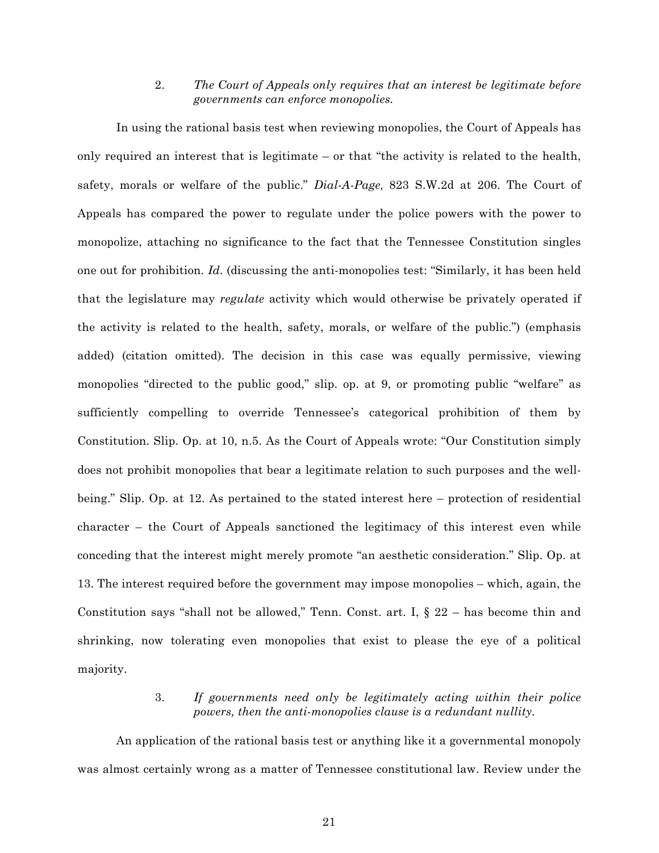2. *The Court of Appeals only requires that an interest be legitimate before governments can enforce monopolies.*

In using the rational basis test when reviewing monopolies, the Court of Appeals has only required an interest that is legitimate – or that "the activity is related to the health, safety, morals or welfare of the public." *Dial-A-Page,* 823 S.W.2d at 206. The Court of Appeals has compared the power to regulate under the police powers with the power to monopolize, attaching no significance to the fact that the Tennessee Constitution singles one out for prohibition. *Id*. (discussing the anti-monopolies test: "Similarly, it has been held that the legislature may *regulate* activity which would otherwise be privately operated if the activity is related to the health, safety, morals, or welfare of the public.") (emphasis added) (citation omitted). The decision in this case was equally permissive, viewing monopolies "directed to the public good," slip. op. at 9, or promoting public "welfare" as sufficiently compelling to override Tennessee's categorical prohibition of them by Constitution. Slip. Op. at 10, n.5. As the Court of Appeals wrote: "Our Constitution simply does not prohibit monopolies that bear a legitimate relation to such purposes and the wellbeing." Slip. Op. at 12. As pertained to the stated interest here – protection of residential character – the Court of Appeals sanctioned the legitimacy of this interest even while conceding that the interest might merely promote "an aesthetic consideration." Slip. Op. at 13. The interest required before the government may impose monopolies – which, again, the Constitution says "shall not be allowed," Tenn. Const. art. I, § 22 – has become thin and shrinking, now tolerating even monopolies that exist to please the eye of a political majority.

### 3. *If governments need only be legitimately acting within their police powers, then the anti-monopolies clause is a redundant nullity.*

An application of the rational basis test or anything like it a governmental monopoly was almost certainly wrong as a matter of Tennessee constitutional law. Review under the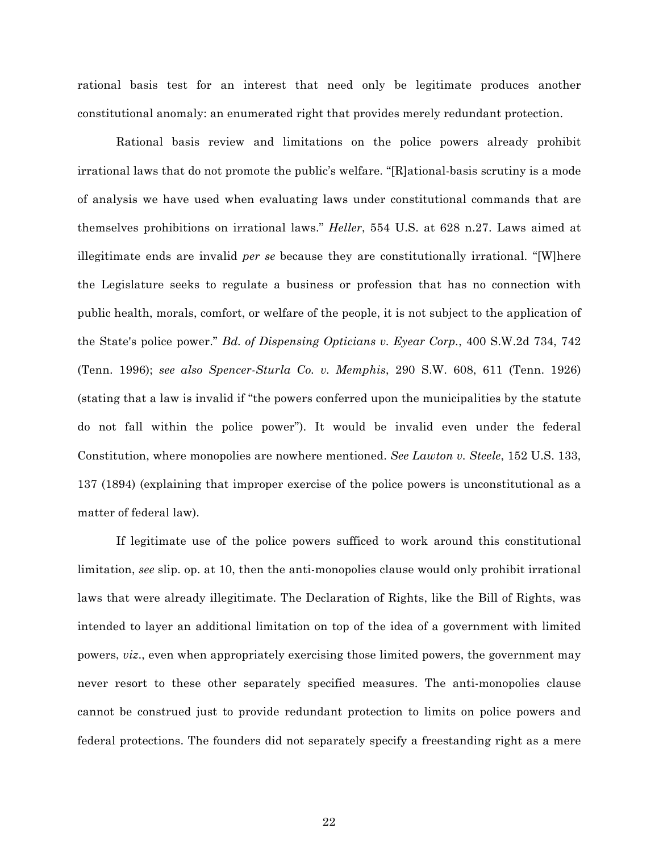rational basis test for an interest that need only be legitimate produces another constitutional anomaly: an enumerated right that provides merely redundant protection.

Rational basis review and limitations on the police powers already prohibit irrational laws that do not promote the public's welfare. "[R]ational-basis scrutiny is a mode of analysis we have used when evaluating laws under constitutional commands that are themselves prohibitions on irrational laws." *Heller*, 554 U.S. at 628 n.27. Laws aimed at illegitimate ends are invalid *per se* because they are constitutionally irrational. "[W]here the Legislature seeks to regulate a business or profession that has no connection with public health, morals, comfort, or welfare of the people, it is not subject to the application of the State's police power." *Bd. of Dispensing Opticians v. Eyear Corp.*, 400 S.W.2d 734, 742 (Tenn. 1996); *see also Spencer-Sturla Co. v. Memphis*, 290 S.W. 608, 611 (Tenn. 1926) (stating that a law is invalid if "the powers conferred upon the municipalities by the statute do not fall within the police power"). It would be invalid even under the federal Constitution, where monopolies are nowhere mentioned. *See Lawton v. Steele*, 152 U.S. 133, 137 (1894) (explaining that improper exercise of the police powers is unconstitutional as a matter of federal law).

If legitimate use of the police powers sufficed to work around this constitutional limitation, *see* slip. op. at 10, then the anti-monopolies clause would only prohibit irrational laws that were already illegitimate. The Declaration of Rights, like the Bill of Rights, was intended to layer an additional limitation on top of the idea of a government with limited powers, *viz*., even when appropriately exercising those limited powers, the government may never resort to these other separately specified measures. The anti-monopolies clause cannot be construed just to provide redundant protection to limits on police powers and federal protections. The founders did not separately specify a freestanding right as a mere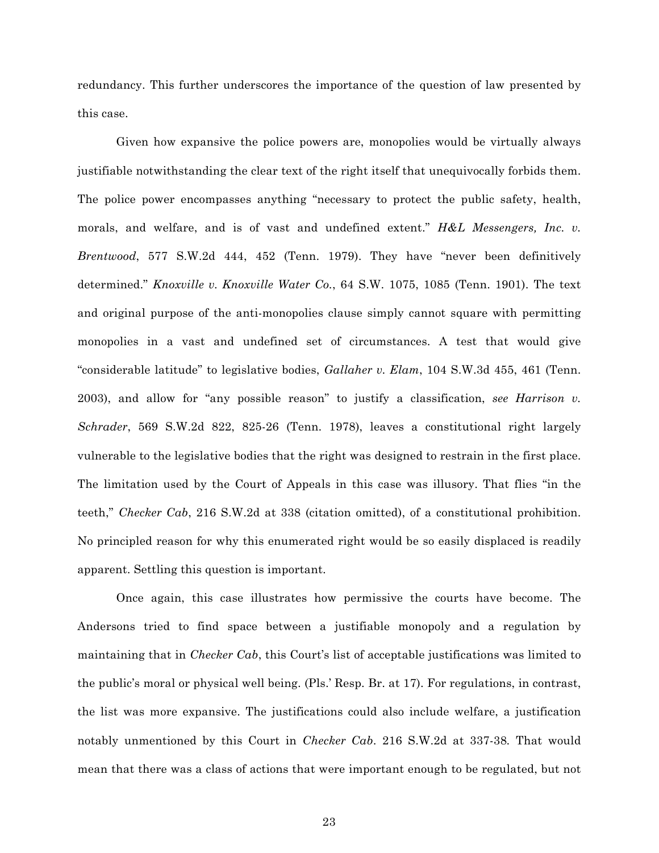redundancy. This further underscores the importance of the question of law presented by this case.

Given how expansive the police powers are, monopolies would be virtually always justifiable notwithstanding the clear text of the right itself that unequivocally forbids them. The police power encompasses anything "necessary to protect the public safety, health, morals, and welfare, and is of vast and undefined extent." *H&L Messengers, Inc. v. Brentwood*, 577 S.W.2d 444, 452 (Tenn. 1979). They have "never been definitively determined." *Knoxville v. Knoxville Water Co.*, 64 S.W. 1075, 1085 (Tenn. 1901). The text and original purpose of the anti-monopolies clause simply cannot square with permitting monopolies in a vast and undefined set of circumstances. A test that would give "considerable latitude" to legislative bodies, *Gallaher v. Elam*, 104 S.W.3d 455, 461 (Tenn. 2003), and allow for "any possible reason" to justify a classification, *see Harrison v. Schrader*, 569 S.W.2d 822, 825-26 (Tenn. 1978), leaves a constitutional right largely vulnerable to the legislative bodies that the right was designed to restrain in the first place. The limitation used by the Court of Appeals in this case was illusory. That flies "in the teeth," *Checker Cab*, 216 S.W.2d at 338 (citation omitted), of a constitutional prohibition. No principled reason for why this enumerated right would be so easily displaced is readily apparent. Settling this question is important.

Once again, this case illustrates how permissive the courts have become. The Andersons tried to find space between a justifiable monopoly and a regulation by maintaining that in *Checker Cab*, this Court's list of acceptable justifications was limited to the public's moral or physical well being. (Pls.' Resp. Br. at 17). For regulations, in contrast, the list was more expansive. The justifications could also include welfare, a justification notably unmentioned by this Court in *Checker Cab*. 216 S.W.2d at 337-38*.* That would mean that there was a class of actions that were important enough to be regulated, but not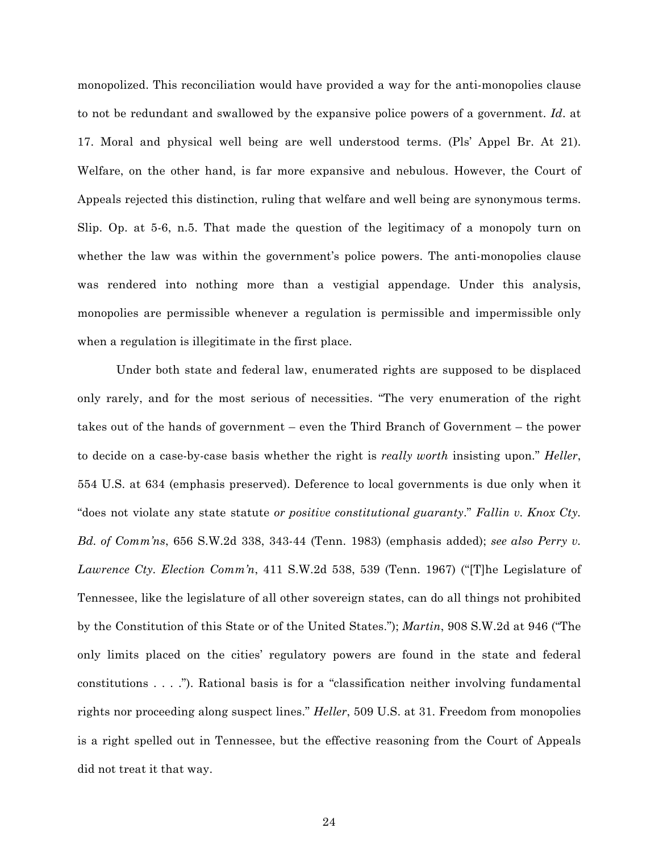monopolized. This reconciliation would have provided a way for the anti-monopolies clause to not be redundant and swallowed by the expansive police powers of a government. *Id*. at 17. Moral and physical well being are well understood terms. (Pls' Appel Br. At 21). Welfare, on the other hand, is far more expansive and nebulous. However, the Court of Appeals rejected this distinction, ruling that welfare and well being are synonymous terms. Slip. Op. at 5-6, n.5. That made the question of the legitimacy of a monopoly turn on whether the law was within the government's police powers. The anti-monopolies clause was rendered into nothing more than a vestigial appendage. Under this analysis, monopolies are permissible whenever a regulation is permissible and impermissible only when a regulation is illegitimate in the first place.

Under both state and federal law, enumerated rights are supposed to be displaced only rarely, and for the most serious of necessities. "The very enumeration of the right takes out of the hands of government – even the Third Branch of Government – the power to decide on a case-by-case basis whether the right is *really worth* insisting upon." *Heller*, 554 U.S. at 634 (emphasis preserved). Deference to local governments is due only when it "does not violate any state statute *or positive constitutional guaranty*." *Fallin v. Knox Cty. Bd. of Comm'ns*, 656 S.W.2d 338, 343-44 (Tenn. 1983) (emphasis added); *see also Perry v. Lawrence Cty. Election Comm'n*, 411 S.W.2d 538, 539 (Tenn. 1967) ("[T]he Legislature of Tennessee, like the legislature of all other sovereign states, can do all things not prohibited by the Constitution of this State or of the United States."); *Martin*, 908 S.W.2d at 946 ("The only limits placed on the cities' regulatory powers are found in the state and federal constitutions . . . ."). Rational basis is for a "classification neither involving fundamental rights nor proceeding along suspect lines." *Heller*, 509 U.S. at 31. Freedom from monopolies is a right spelled out in Tennessee, but the effective reasoning from the Court of Appeals did not treat it that way.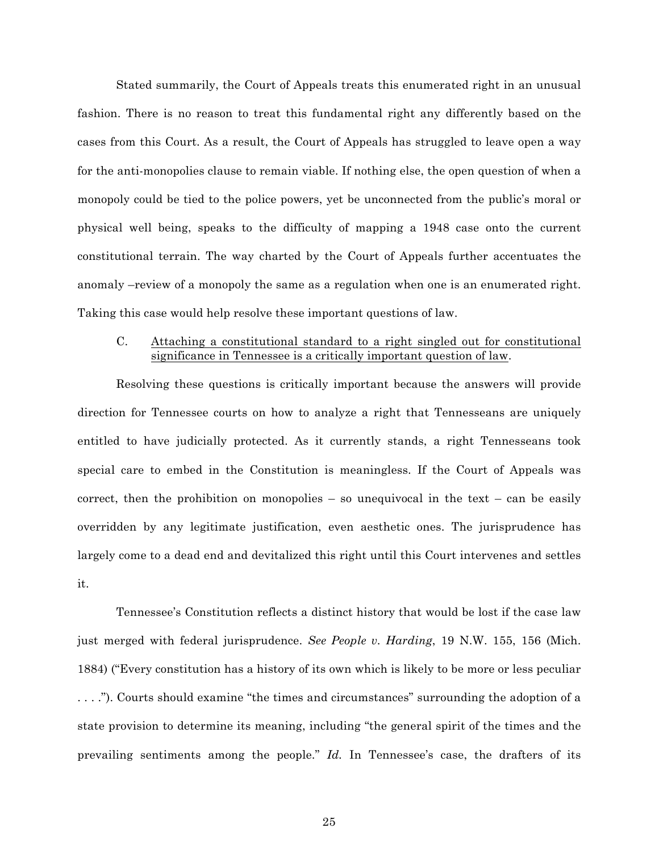Stated summarily, the Court of Appeals treats this enumerated right in an unusual fashion. There is no reason to treat this fundamental right any differently based on the cases from this Court. As a result, the Court of Appeals has struggled to leave open a way for the anti-monopolies clause to remain viable. If nothing else, the open question of when a monopoly could be tied to the police powers, yet be unconnected from the public's moral or physical well being, speaks to the difficulty of mapping a 1948 case onto the current constitutional terrain. The way charted by the Court of Appeals further accentuates the anomaly –review of a monopoly the same as a regulation when one is an enumerated right. Taking this case would help resolve these important questions of law.

### C. Attaching a constitutional standard to a right singled out for constitutional significance in Tennessee is a critically important question of law.

Resolving these questions is critically important because the answers will provide direction for Tennessee courts on how to analyze a right that Tennesseans are uniquely entitled to have judicially protected. As it currently stands, a right Tennesseans took special care to embed in the Constitution is meaningless. If the Court of Appeals was correct, then the prohibition on monopolies – so unequivocal in the text – can be easily overridden by any legitimate justification, even aesthetic ones. The jurisprudence has largely come to a dead end and devitalized this right until this Court intervenes and settles it.

Tennessee's Constitution reflects a distinct history that would be lost if the case law just merged with federal jurisprudence. *See People v. Harding*, 19 N.W. 155, 156 (Mich. 1884) ("Every constitution has a history of its own which is likely to be more or less peculiar . . . ."). Courts should examine "the times and circumstances" surrounding the adoption of a state provision to determine its meaning, including "the general spirit of the times and the prevailing sentiments among the people." *Id.* In Tennessee's case, the drafters of its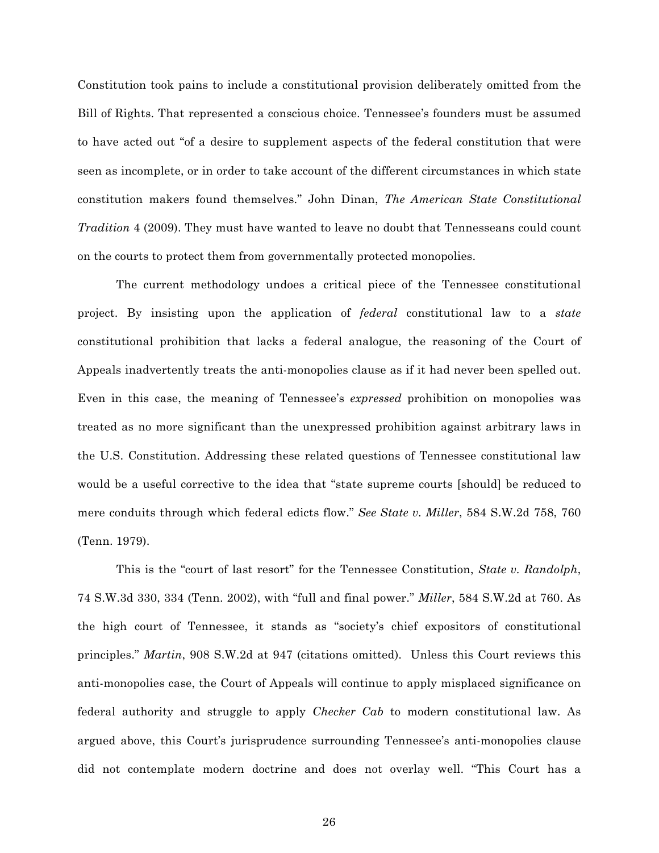Constitution took pains to include a constitutional provision deliberately omitted from the Bill of Rights. That represented a conscious choice. Tennessee's founders must be assumed to have acted out "of a desire to supplement aspects of the federal constitution that were seen as incomplete, or in order to take account of the different circumstances in which state constitution makers found themselves." John Dinan, *The American State Constitutional Tradition* 4 (2009). They must have wanted to leave no doubt that Tennesseans could count on the courts to protect them from governmentally protected monopolies.

The current methodology undoes a critical piece of the Tennessee constitutional project. By insisting upon the application of *federal* constitutional law to a *state* constitutional prohibition that lacks a federal analogue, the reasoning of the Court of Appeals inadvertently treats the anti-monopolies clause as if it had never been spelled out. Even in this case, the meaning of Tennessee's *expressed* prohibition on monopolies was treated as no more significant than the unexpressed prohibition against arbitrary laws in the U.S. Constitution. Addressing these related questions of Tennessee constitutional law would be a useful corrective to the idea that "state supreme courts [should] be reduced to mere conduits through which federal edicts flow." *See State v. Miller*, 584 S.W.2d 758, 760 (Tenn. 1979).

This is the "court of last resort" for the Tennessee Constitution, *State v. Randolph*, 74 S.W.3d 330, 334 (Tenn. 2002), with "full and final power." *Miller*, 584 S.W.2d at 760. As the high court of Tennessee, it stands as "society's chief expositors of constitutional principles." *Martin*, 908 S.W.2d at 947 (citations omitted). Unless this Court reviews this anti-monopolies case, the Court of Appeals will continue to apply misplaced significance on federal authority and struggle to apply *Checker Cab* to modern constitutional law. As argued above, this Court's jurisprudence surrounding Tennessee's anti-monopolies clause did not contemplate modern doctrine and does not overlay well. "This Court has a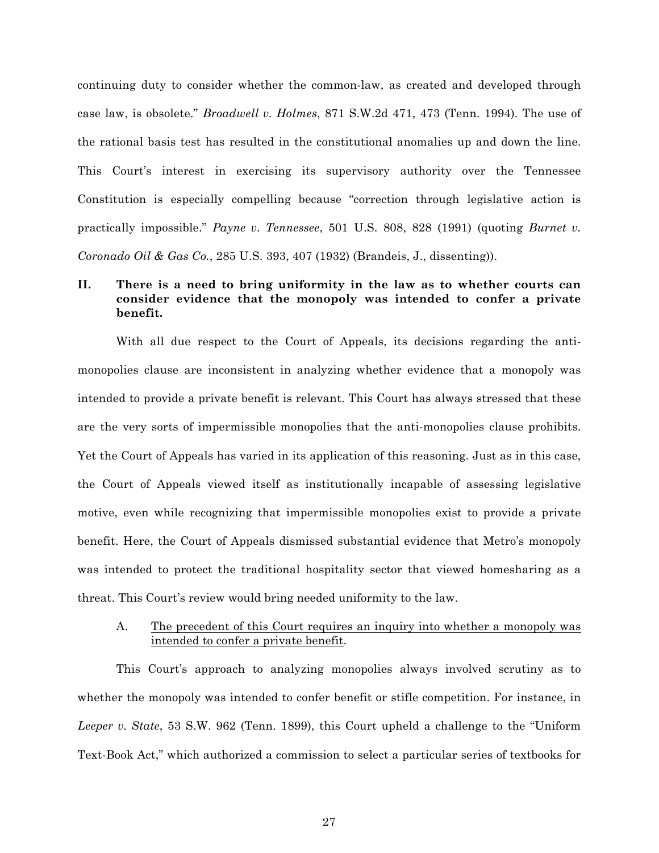continuing duty to consider whether the common-law, as created and developed through case law, is obsolete." *Broadwell v. Holmes*, 871 S.W.2d 471, 473 (Tenn. 1994). The use of the rational basis test has resulted in the constitutional anomalies up and down the line. This Court's interest in exercising its supervisory authority over the Tennessee Constitution is especially compelling because "correction through legislative action is practically impossible." *Payne v. Tennessee*, 501 U.S. 808, 828 (1991) (quoting *Burnet v. Coronado Oil & Gas Co.*, 285 U.S. 393, 407 (1932) (Brandeis, J., dissenting)).

## **II. There is a need to bring uniformity in the law as to whether courts can consider evidence that the monopoly was intended to confer a private benefit.**

With all due respect to the Court of Appeals, its decisions regarding the antimonopolies clause are inconsistent in analyzing whether evidence that a monopoly was intended to provide a private benefit is relevant. This Court has always stressed that these are the very sorts of impermissible monopolies that the anti-monopolies clause prohibits. Yet the Court of Appeals has varied in its application of this reasoning. Just as in this case, the Court of Appeals viewed itself as institutionally incapable of assessing legislative motive, even while recognizing that impermissible monopolies exist to provide a private benefit. Here, the Court of Appeals dismissed substantial evidence that Metro's monopoly was intended to protect the traditional hospitality sector that viewed homesharing as a threat. This Court's review would bring needed uniformity to the law.

### A. The precedent of this Court requires an inquiry into whether a monopoly was intended to confer a private benefit.

This Court's approach to analyzing monopolies always involved scrutiny as to whether the monopoly was intended to confer benefit or stifle competition. For instance, in *Leeper v. State*, 53 S.W. 962 (Tenn. 1899), this Court upheld a challenge to the "Uniform Text-Book Act," which authorized a commission to select a particular series of textbooks for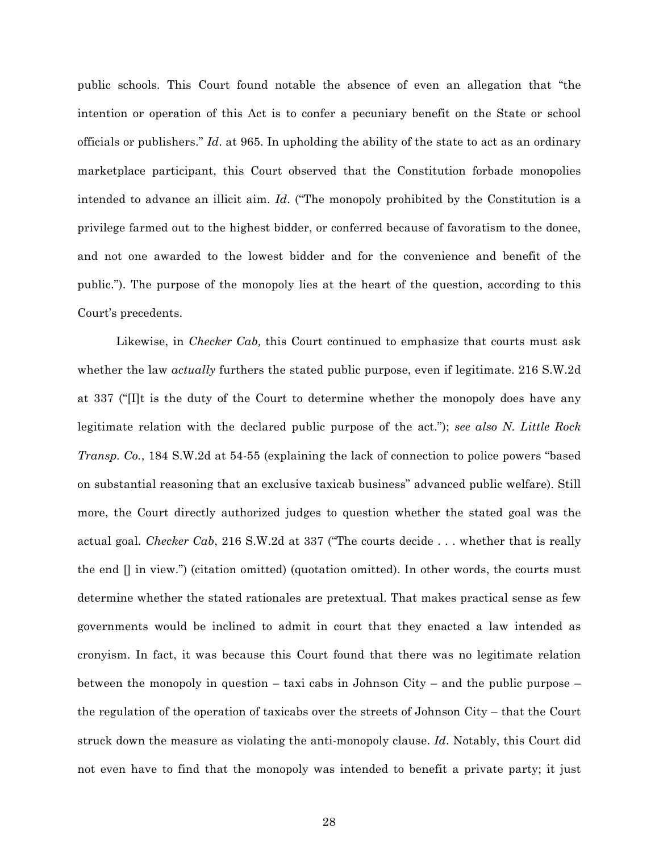public schools. This Court found notable the absence of even an allegation that "the intention or operation of this Act is to confer a pecuniary benefit on the State or school officials or publishers." *Id*. at 965. In upholding the ability of the state to act as an ordinary marketplace participant, this Court observed that the Constitution forbade monopolies intended to advance an illicit aim. *Id*. ("The monopoly prohibited by the Constitution is a privilege farmed out to the highest bidder, or conferred because of favoratism to the donee, and not one awarded to the lowest bidder and for the convenience and benefit of the public."). The purpose of the monopoly lies at the heart of the question, according to this Court's precedents.

Likewise, in *Checker Cab,* this Court continued to emphasize that courts must ask whether the law *actually* furthers the stated public purpose, even if legitimate. 216 S.W.2d at 337 ("[I]t is the duty of the Court to determine whether the monopoly does have any legitimate relation with the declared public purpose of the act."); *see also N. Little Rock Transp. Co.*, 184 S.W.2d at 54-55 (explaining the lack of connection to police powers "based on substantial reasoning that an exclusive taxicab business" advanced public welfare). Still more, the Court directly authorized judges to question whether the stated goal was the actual goal. *Checker Cab*, 216 S.W.2d at 337 ("The courts decide . . . whether that is really the end  $\Box$  in view.") (citation omitted) (quotation omitted). In other words, the courts must determine whether the stated rationales are pretextual. That makes practical sense as few governments would be inclined to admit in court that they enacted a law intended as cronyism. In fact, it was because this Court found that there was no legitimate relation between the monopoly in question – taxi cabs in Johnson City – and the public purpose – the regulation of the operation of taxicabs over the streets of Johnson City – that the Court struck down the measure as violating the anti-monopoly clause. *Id*. Notably, this Court did not even have to find that the monopoly was intended to benefit a private party; it just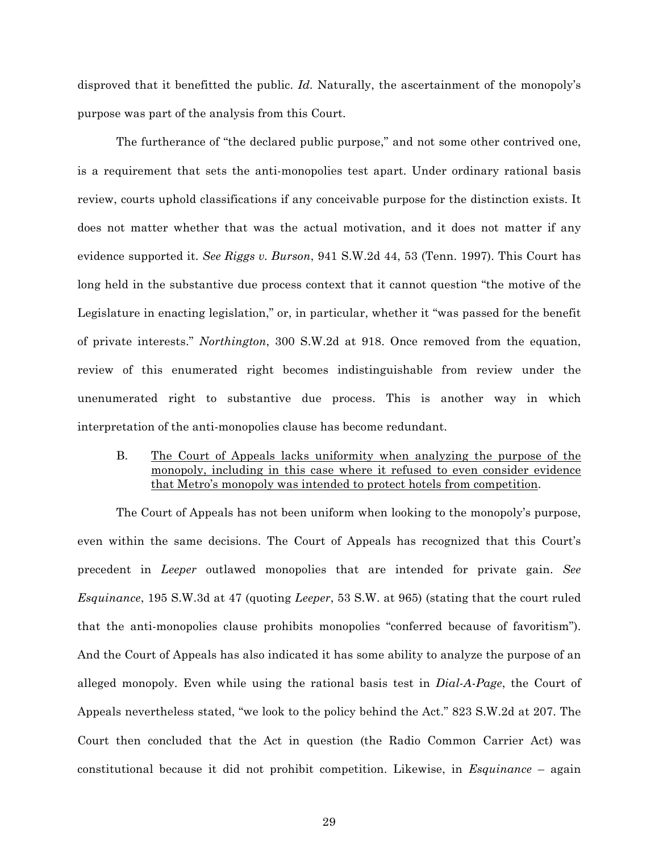disproved that it benefitted the public. *Id.* Naturally, the ascertainment of the monopoly's purpose was part of the analysis from this Court.

The furtherance of "the declared public purpose," and not some other contrived one, is a requirement that sets the anti-monopolies test apart. Under ordinary rational basis review, courts uphold classifications if any conceivable purpose for the distinction exists. It does not matter whether that was the actual motivation, and it does not matter if any evidence supported it. *See Riggs v. Burson*, 941 S.W.2d 44, 53 (Tenn. 1997). This Court has long held in the substantive due process context that it cannot question "the motive of the Legislature in enacting legislation," or, in particular, whether it "was passed for the benefit of private interests." *Northington*, 300 S.W.2d at 918. Once removed from the equation, review of this enumerated right becomes indistinguishable from review under the unenumerated right to substantive due process. This is another way in which interpretation of the anti-monopolies clause has become redundant.

## B. The Court of Appeals lacks uniformity when analyzing the purpose of the monopoly, including in this case where it refused to even consider evidence that Metro's monopoly was intended to protect hotels from competition.

The Court of Appeals has not been uniform when looking to the monopoly's purpose, even within the same decisions. The Court of Appeals has recognized that this Court's precedent in *Leeper* outlawed monopolies that are intended for private gain. *See Esquinance*, 195 S.W.3d at 47 (quoting *Leeper*, 53 S.W. at 965) (stating that the court ruled that the anti-monopolies clause prohibits monopolies "conferred because of favoritism"). And the Court of Appeals has also indicated it has some ability to analyze the purpose of an alleged monopoly. Even while using the rational basis test in *Dial-A-Page*, the Court of Appeals nevertheless stated, "we look to the policy behind the Act." 823 S.W.2d at 207. The Court then concluded that the Act in question (the Radio Common Carrier Act) was constitutional because it did not prohibit competition. Likewise, in *Esquinance* – again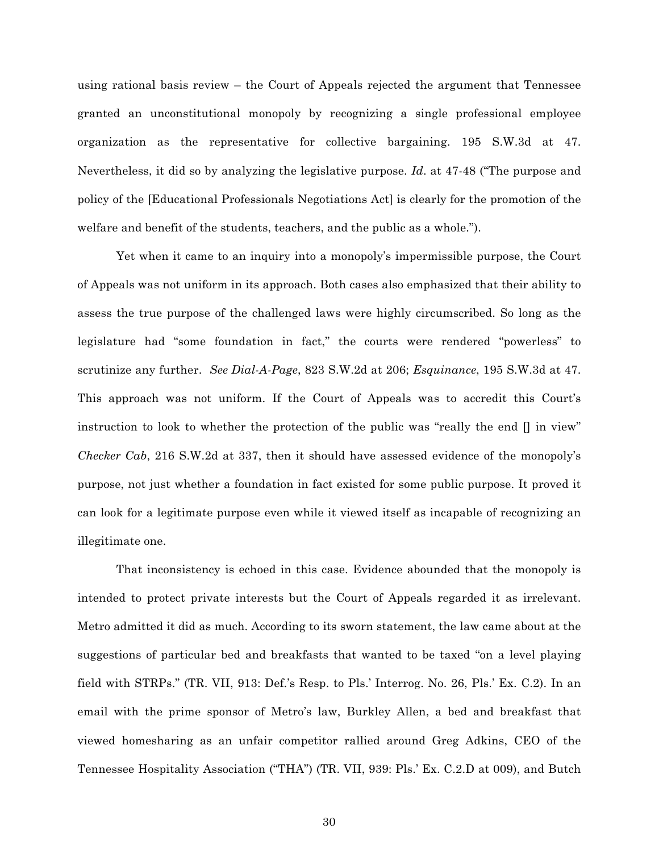using rational basis review – the Court of Appeals rejected the argument that Tennessee granted an unconstitutional monopoly by recognizing a single professional employee organization as the representative for collective bargaining. 195 S.W.3d at 47. Nevertheless, it did so by analyzing the legislative purpose. *Id*. at 47-48 ("The purpose and policy of the [Educational Professionals Negotiations Act] is clearly for the promotion of the welfare and benefit of the students, teachers, and the public as a whole.").

Yet when it came to an inquiry into a monopoly's impermissible purpose, the Court of Appeals was not uniform in its approach. Both cases also emphasized that their ability to assess the true purpose of the challenged laws were highly circumscribed. So long as the legislature had "some foundation in fact," the courts were rendered "powerless" to scrutinize any further. *See Dial-A-Page*, 823 S.W.2d at 206; *Esquinance*, 195 S.W.3d at 47. This approach was not uniform. If the Court of Appeals was to accredit this Court's instruction to look to whether the protection of the public was "really the end  $\parallel$  in view" *Checker Cab*, 216 S.W.2d at 337, then it should have assessed evidence of the monopoly's purpose, not just whether a foundation in fact existed for some public purpose. It proved it can look for a legitimate purpose even while it viewed itself as incapable of recognizing an illegitimate one.

That inconsistency is echoed in this case. Evidence abounded that the monopoly is intended to protect private interests but the Court of Appeals regarded it as irrelevant. Metro admitted it did as much. According to its sworn statement, the law came about at the suggestions of particular bed and breakfasts that wanted to be taxed "on a level playing field with STRPs." (TR. VII, 913: Def.'s Resp. to Pls.' Interrog. No. 26, Pls.' Ex. C.2). In an email with the prime sponsor of Metro's law, Burkley Allen, a bed and breakfast that viewed homesharing as an unfair competitor rallied around Greg Adkins, CEO of the Tennessee Hospitality Association ("THA") (TR. VII, 939: Pls.' Ex. C.2.D at 009), and Butch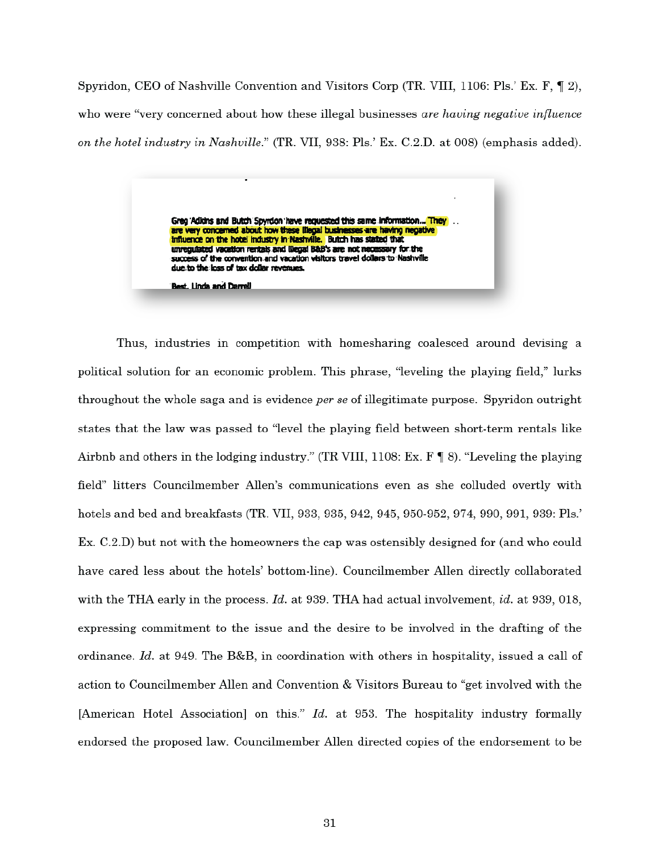Spyridon, CEO of Nashville Convention and Visitors Corp (TR. VIII, 1106: Pls.' Ex. F, ¶ 2). who were "very concerned about how these illegal businesses are having negative influence on the hotel industry in Nashville." (TR. VII, 938: Pls.' Ex. C.2.D. at 008) (emphasis added).

> Greg Adkins and Butch Spyrdon have requested this same information... They e very concerned about how these illegal businesses are having n influence on the hotel industry in Nashville. Butch has stated that unregulated vacation rentals and illegal B&B's are not necessary for the success of the convention and vacation visitors travel dollars to Nashville due to the loss of tax dollar revenues. <u> Best, Linda and Darreli</u>

Thus, industries in competition with homesharing coalesced around devising a political solution for an economic problem. This phrase, "leveling the playing field," lurks throughout the whole saga and is evidence *per se* of illegitimate purpose. Spyridon outright states that the law was passed to "level the playing field between short-term rentals like Airbnb and others in the lodging industry." (TR VIII, 1108: Ex. F | 8). "Leveling the playing field" litters Councilmember Allen's communications even as she colluded overtly with hotels and bed and breakfasts (TR. VII, 933, 935, 942, 945, 950-952, 974, 990, 991, 939: Pls.' Ex. C.2.D) but not with the homeowners the cap was ostensibly designed for (and who could have cared less about the hotels' bottom-line). Councilmember Allen directly collaborated with the THA early in the process. Id. at 939. THA had actual involvement, id. at 939, 018, expressing commitment to the issue and the desire to be involved in the drafting of the ordinance. Id. at 949. The B&B, in coordination with others in hospitality, issued a call of action to Councilmember Allen and Convention & Visitors Bureau to "get involved with the [American Hotel Association] on this." Id. at 953. The hospitality industry formally endorsed the proposed law. Councilmember Allen directed copies of the endorsement to be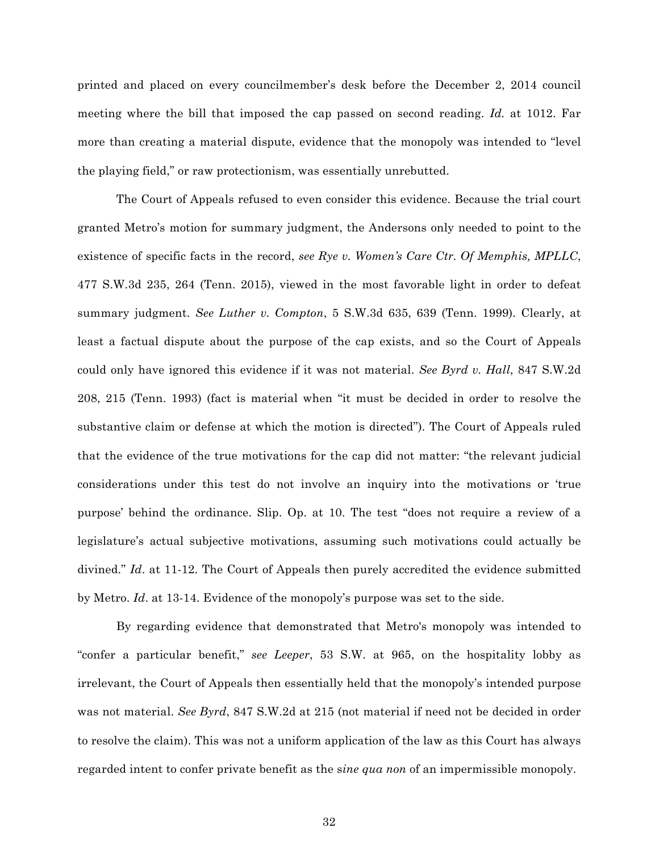printed and placed on every councilmember's desk before the December 2, 2014 council meeting where the bill that imposed the cap passed on second reading. *Id.* at 1012. Far more than creating a material dispute, evidence that the monopoly was intended to "level the playing field," or raw protectionism, was essentially unrebutted.

The Court of Appeals refused to even consider this evidence. Because the trial court granted Metro's motion for summary judgment, the Andersons only needed to point to the existence of specific facts in the record, *see Rye v. Women's Care Ctr. Of Memphis, MPLLC*, 477 S.W.3d 235, 264 (Tenn. 2015), viewed in the most favorable light in order to defeat summary judgment. *See Luther v. Compton*, 5 S.W.3d 635, 639 (Tenn. 1999). Clearly, at least a factual dispute about the purpose of the cap exists, and so the Court of Appeals could only have ignored this evidence if it was not material. *See Byrd v. Hall*, 847 S.W.2d 208, 215 (Tenn. 1993) (fact is material when "it must be decided in order to resolve the substantive claim or defense at which the motion is directed"). The Court of Appeals ruled that the evidence of the true motivations for the cap did not matter: "the relevant judicial considerations under this test do not involve an inquiry into the motivations or 'true purpose' behind the ordinance. Slip. Op. at 10. The test "does not require a review of a legislature's actual subjective motivations, assuming such motivations could actually be divined." *Id*. at 11-12. The Court of Appeals then purely accredited the evidence submitted by Metro. *Id*. at 13-14. Evidence of the monopoly's purpose was set to the side.

By regarding evidence that demonstrated that Metro's monopoly was intended to "confer a particular benefit," *see Leeper*, 53 S.W. at 965, on the hospitality lobby as irrelevant, the Court of Appeals then essentially held that the monopoly's intended purpose was not material. *See Byrd*, 847 S.W.2d at 215 (not material if need not be decided in order to resolve the claim). This was not a uniform application of the law as this Court has always regarded intent to confer private benefit as the s*ine qua non* of an impermissible monopoly.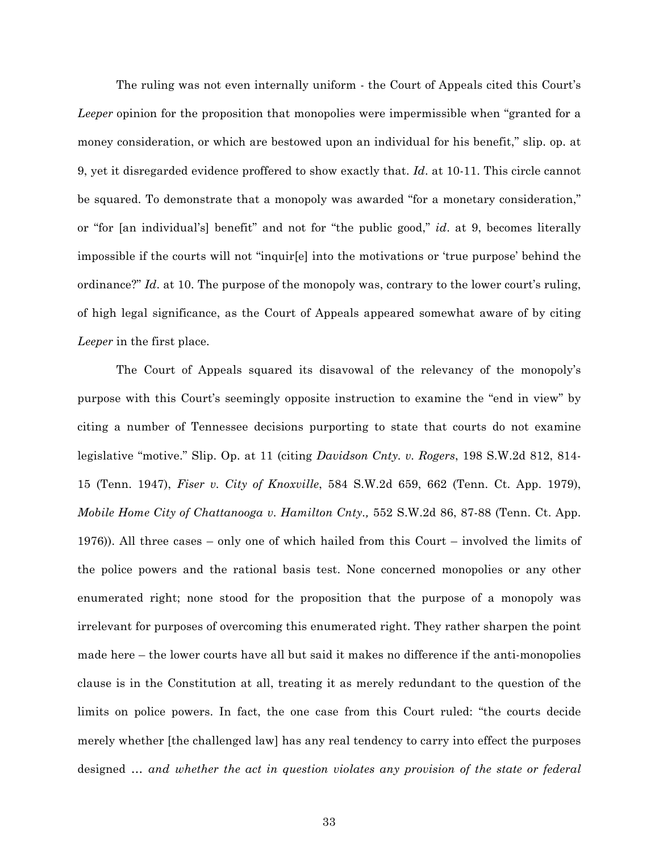The ruling was not even internally uniform - the Court of Appeals cited this Court's *Leeper* opinion for the proposition that monopolies were impermissible when "granted for a money consideration, or which are bestowed upon an individual for his benefit," slip. op. at 9, yet it disregarded evidence proffered to show exactly that. *Id*. at 10-11. This circle cannot be squared. To demonstrate that a monopoly was awarded "for a monetary consideration," or "for [an individual's] benefit" and not for "the public good," *id*. at 9, becomes literally impossible if the courts will not "inquir[e] into the motivations or 'true purpose' behind the ordinance?" *Id*. at 10. The purpose of the monopoly was, contrary to the lower court's ruling, of high legal significance, as the Court of Appeals appeared somewhat aware of by citing *Leeper* in the first place.

The Court of Appeals squared its disavowal of the relevancy of the monopoly's purpose with this Court's seemingly opposite instruction to examine the "end in view" by citing a number of Tennessee decisions purporting to state that courts do not examine legislative "motive." Slip. Op. at 11 (citing *Davidson Cnty. v. Rogers*, 198 S.W.2d 812, 814- 15 (Tenn. 1947), *Fiser v. City of Knoxville*, 584 S.W.2d 659, 662 (Tenn. Ct. App. 1979), *Mobile Home City of Chattanooga v. Hamilton Cnty.,* 552 S.W.2d 86, 87-88 (Tenn. Ct. App. 1976)). All three cases – only one of which hailed from this Court – involved the limits of the police powers and the rational basis test. None concerned monopolies or any other enumerated right; none stood for the proposition that the purpose of a monopoly was irrelevant for purposes of overcoming this enumerated right. They rather sharpen the point made here – the lower courts have all but said it makes no difference if the anti-monopolies clause is in the Constitution at all, treating it as merely redundant to the question of the limits on police powers. In fact, the one case from this Court ruled: "the courts decide merely whether [the challenged law] has any real tendency to carry into effect the purposes designed … *and whether the act in question violates any provision of the state or federal*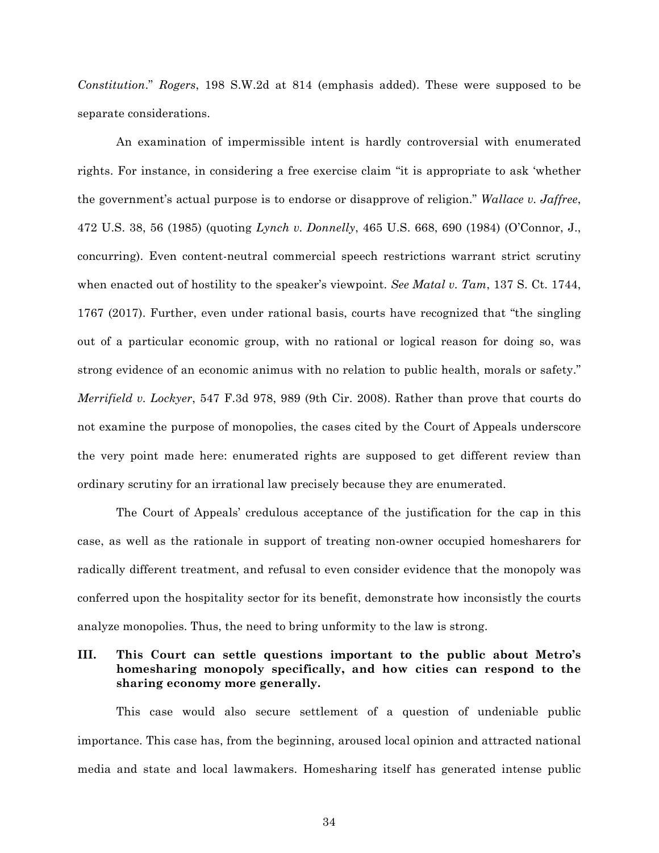*Constitution*." *Rogers*, 198 S.W.2d at 814 (emphasis added). These were supposed to be separate considerations.

An examination of impermissible intent is hardly controversial with enumerated rights. For instance, in considering a free exercise claim "it is appropriate to ask 'whether the government's actual purpose is to endorse or disapprove of religion." *Wallace v. Jaffree*, 472 U.S. 38, 56 (1985) (quoting *Lynch v. Donnelly*, 465 U.S. 668, 690 (1984) (O'Connor, J., concurring). Even content-neutral commercial speech restrictions warrant strict scrutiny when enacted out of hostility to the speaker's viewpoint. *See Matal v. Tam*, 137 S. Ct. 1744, 1767 (2017). Further, even under rational basis, courts have recognized that "the singling out of a particular economic group, with no rational or logical reason for doing so, was strong evidence of an economic animus with no relation to public health, morals or safety." *Merrifield v. Lockyer*, 547 F.3d 978, 989 (9th Cir. 2008). Rather than prove that courts do not examine the purpose of monopolies, the cases cited by the Court of Appeals underscore the very point made here: enumerated rights are supposed to get different review than ordinary scrutiny for an irrational law precisely because they are enumerated.

The Court of Appeals' credulous acceptance of the justification for the cap in this case, as well as the rationale in support of treating non-owner occupied homesharers for radically different treatment, and refusal to even consider evidence that the monopoly was conferred upon the hospitality sector for its benefit, demonstrate how inconsistly the courts analyze monopolies. Thus, the need to bring unformity to the law is strong.

### **III. This Court can settle questions important to the public about Metro's homesharing monopoly specifically, and how cities can respond to the sharing economy more generally.**

This case would also secure settlement of a question of undeniable public importance. This case has, from the beginning, aroused local opinion and attracted national media and state and local lawmakers. Homesharing itself has generated intense public

34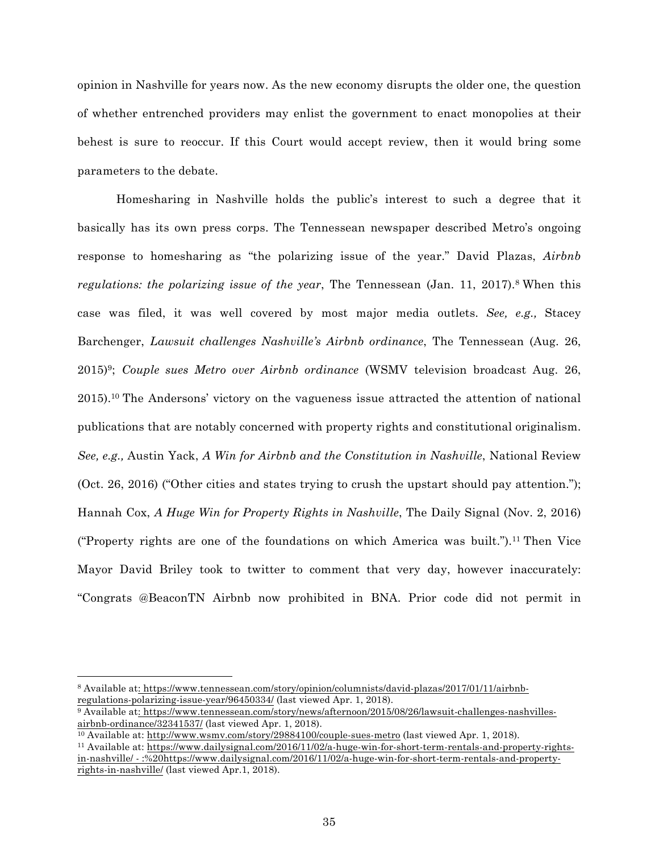opinion in Nashville for years now. As the new economy disrupts the older one, the question of whether entrenched providers may enlist the government to enact monopolies at their behest is sure to reoccur. If this Court would accept review, then it would bring some parameters to the debate.

Homesharing in Nashville holds the public's interest to such a degree that it basically has its own press corps. The Tennessean newspaper described Metro's ongoing response to homesharing as "the polarizing issue of the year." David Plazas, *Airbnb regulations: the polarizing issue of the year*, The Tennessean (Jan. 11, 2017).8 When this case was filed, it was well covered by most major media outlets. *See, e.g.,* Stacey Barchenger, *Lawsuit challenges Nashville's Airbnb ordinance*, The Tennessean (Aug. 26, 2015)9; *Couple sues Metro over Airbnb ordinance* (WSMV television broadcast Aug. 26, 2015). <sup>10</sup> The Andersons' victory on the vagueness issue attracted the attention of national publications that are notably concerned with property rights and constitutional originalism. *See, e.g.,* Austin Yack, *A Win for Airbnb and the Constitution in Nashville*, National Review (Oct. 26, 2016) ("Other cities and states trying to crush the upstart should pay attention."); Hannah Cox, *A Huge Win for Property Rights in Nashville*, The Daily Signal (Nov. 2, 2016) ("Property rights are one of the foundations on which America was built.").<sup>11</sup> Then Vice Mayor David Briley took to twitter to comment that very day, however inaccurately: "Congrats @BeaconTN Airbnb now prohibited in BNA. Prior code did not permit in

<sup>8</sup> Available at: https://www.tennessean.com/story/opinion/columnists/david-plazas/2017/01/11/airbnbregulations-polarizing-issue-year/96450334/ (last viewed Apr. 1, 2018).

<sup>9</sup> Available at: https://www.tennessean.com/story/news/afternoon/2015/08/26/lawsuit-challenges-nashvillesairbnb-ordinance/32341537/ (last viewed Apr. 1, 2018).

<sup>10</sup> Available at: http://www.wsmv.com/story/29884100/couple-sues-metro (last viewed Apr. 1, 2018).

<sup>11</sup> Available at: https://www.dailysignal.com/2016/11/02/a-huge-win-for-short-term-rentals-and-property-rightsin-nashville/ - :%20https://www.dailysignal.com/2016/11/02/a-huge-win-for-short-term-rentals-and-propertyrights-in-nashville/ (last viewed Apr.1, 2018).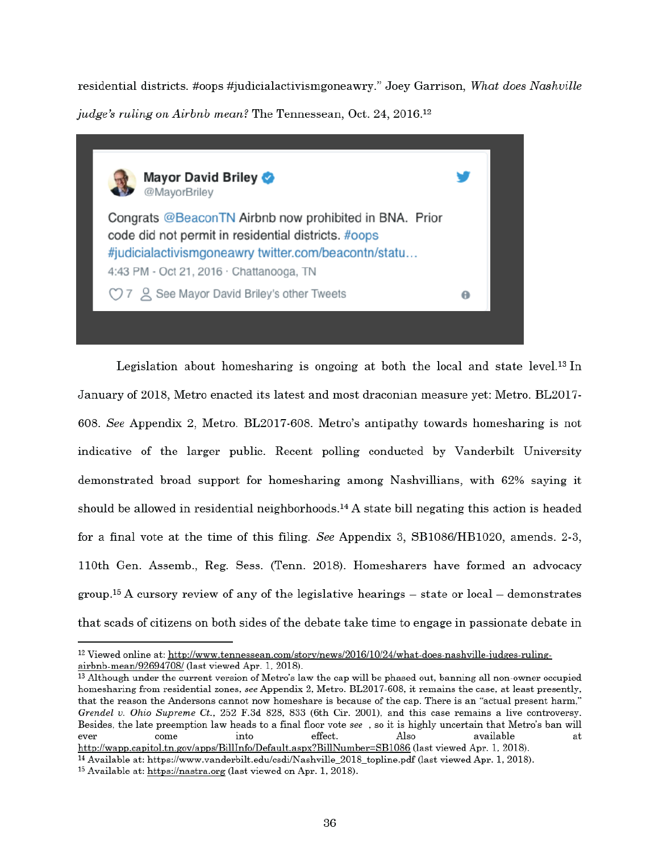residential districts. #oops #judicialactivismgoneawry." Joey Garrison, What does Nashville judge's ruling on Airbnb mean? The Tennessean, Oct. 24, 2016.<sup>12</sup>



Legislation about homesharing is ongoing at both the local and state level.<sup>13</sup> In January of 2018, Metro enacted its latest and most draconian measure yet: Metro. BL2017-608. See Appendix 2, Metro. BL2017-608. Metro's antipathy towards homesharing is not indicative of the larger public. Recent polling conducted by Vanderbilt University demonstrated broad support for homesharing among Nashvillians, with 62% saying it should be allowed in residential neighborhoods.<sup>14</sup> A state bill negating this action is headed for a final vote at the time of this filing. See Appendix 3, SB1086/HB1020, amends. 2-3, 110th Gen. Assemb., Reg. Sess. (Tenn. 2018). Homesharers have formed an advocacy group.<sup>15</sup> A cursory review of any of the legislative hearings – state or local – demonstrates that scads of citizens on both sides of the debate take time to engage in passionate debate in

<sup>&</sup>lt;sup>12</sup> Viewed online at: http://www.tennessean.com/story/news/2016/10/24/what-does-nashville-judges-rulingairbnb-mean/92694708/ (last viewed Apr. 1, 2018).

<sup>&</sup>lt;sup>13</sup> Although under the current version of Metro's law the cap will be phased out, banning all non-owner occupied homesharing from residential zones, see Appendix 2, Metro. BL2017-608, it remains the case, at least presently, that the reason the Andersons cannot now homeshare is because of the cap. There is an "actual present harm," Grendel v. Ohio Supreme Ct., 252 F.3d 828, 833 (6th Cir. 2001), and this case remains a live controversy. Besides, the late preemption law heads to a final floor vote see, so it is highly uncertain that Metro's ban will ever come into effect. Also available at. http://wapp.capitol.tn.gov/apps/BillInfo/Default.aspx?BillNumber=SB1086 (last viewed Apr. 1, 2018). <sup>14</sup> Available at: https://www.vanderbilt.edu/csdi/Nashville\_2018\_topline.pdf (last viewed Apr. 1, 2018).

<sup>&</sup>lt;sup>15</sup> Available at: https://nastra.org (last viewed on Apr. 1, 2018).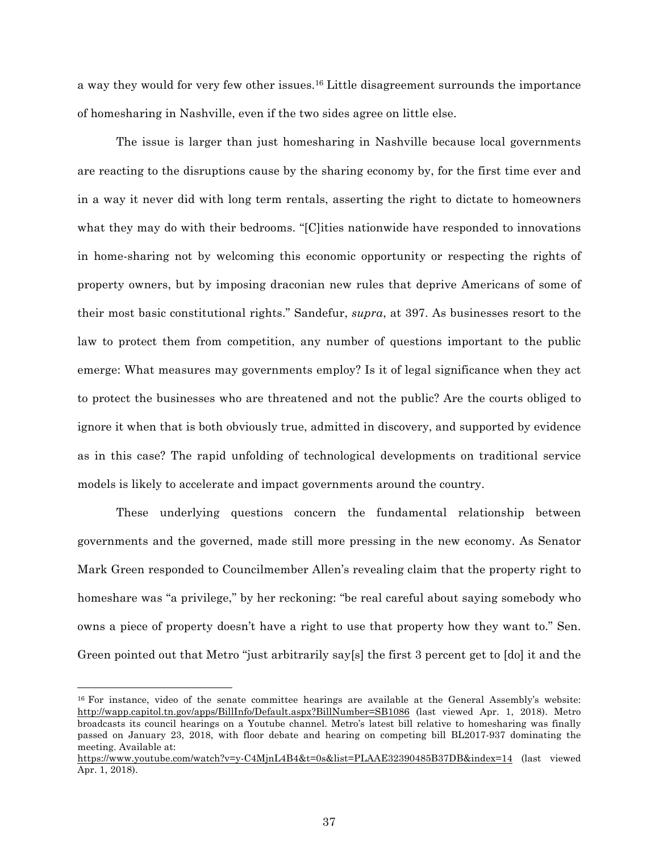a way they would for very few other issues.16 Little disagreement surrounds the importance of homesharing in Nashville, even if the two sides agree on little else.

The issue is larger than just homesharing in Nashville because local governments are reacting to the disruptions cause by the sharing economy by, for the first time ever and in a way it never did with long term rentals, asserting the right to dictate to homeowners what they may do with their bedrooms. "[C]ities nationwide have responded to innovations in home-sharing not by welcoming this economic opportunity or respecting the rights of property owners, but by imposing draconian new rules that deprive Americans of some of their most basic constitutional rights." Sandefur, *supra*, at 397. As businesses resort to the law to protect them from competition, any number of questions important to the public emerge: What measures may governments employ? Is it of legal significance when they act to protect the businesses who are threatened and not the public? Are the courts obliged to ignore it when that is both obviously true, admitted in discovery, and supported by evidence as in this case? The rapid unfolding of technological developments on traditional service models is likely to accelerate and impact governments around the country.

These underlying questions concern the fundamental relationship between governments and the governed, made still more pressing in the new economy. As Senator Mark Green responded to Councilmember Allen's revealing claim that the property right to homeshare was "a privilege," by her reckoning: "be real careful about saying somebody who owns a piece of property doesn't have a right to use that property how they want to." Sen. Green pointed out that Metro "just arbitrarily say[s] the first 3 percent get to [do] it and the

<sup>16</sup> For instance, video of the senate committee hearings are available at the General Assembly's website: http://wapp.capitol.tn.gov/apps/BillInfo/Default.aspx?BillNumber=SB1086 (last viewed Apr. 1, 2018). Metro broadcasts its council hearings on a Youtube channel. Metro's latest bill relative to homesharing was finally passed on January 23, 2018, with floor debate and hearing on competing bill BL2017-937 dominating the meeting. Available at:

https://www.youtube.com/watch?v=y-C4MjnL4B4&t=0s&list=PLAAE32390485B37DB&index=14 (last viewed Apr. 1, 2018).